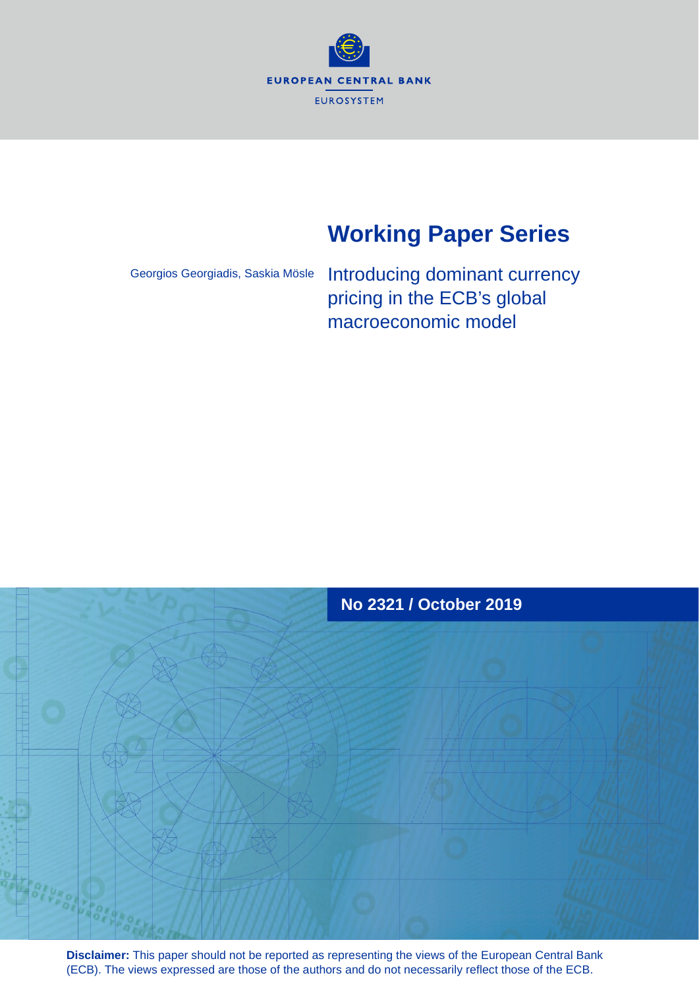

# **Working Paper Series**

Georgios Georgiadis, Saskia Mösle

Introducing dominant currency pricing in the ECB's global macroeconomic model



**Disclaimer:** This paper should not be reported as representing the views of the European Central Bank (ECB). The views expressed are those of the authors and do not necessarily reflect those of the ECB.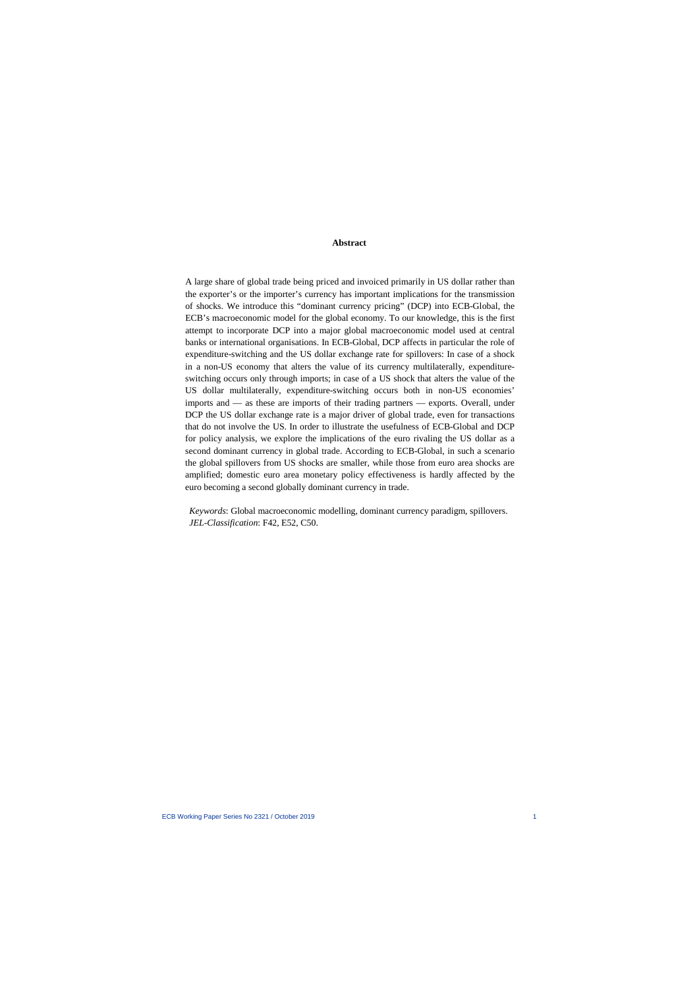#### **Abstract**

A large share of global trade being priced and invoiced primarily in US dollar rather than the exporter's or the importer's currency has important implications for the transmission of shocks. We introduce this "dominant currency pricing" (DCP) into ECB-Global, the ECB's macroeconomic model for the global economy. To our knowledge, this is the first attempt to incorporate DCP into a major global macroeconomic model used at central banks or international organisations. In ECB-Global, DCP affects in particular the role of expenditure-switching and the US dollar exchange rate for spillovers: In case of a shock in a non-US economy that alters the value of its currency multilaterally, expenditureswitching occurs only through imports; in case of a US shock that alters the value of the US dollar multilaterally, expenditure-switching occurs both in non-US economies' imports and — as these are imports of their trading partners — exports. Overall, under DCP the US dollar exchange rate is a major driver of global trade, even for transactions that do not involve the US. In order to illustrate the usefulness of ECB-Global and DCP for policy analysis, we explore the implications of the euro rivaling the US dollar as a second dominant currency in global trade. According to ECB-Global, in such a scenario the global spillovers from US shocks are smaller, while those from euro area shocks are amplified; domestic euro area monetary policy effectiveness is hardly affected by the euro becoming a second globally dominant currency in trade.

*Keywords*: Global macroeconomic modelling, dominant currency paradigm, spillovers. *JEL-Classification*: F42, E52, C50.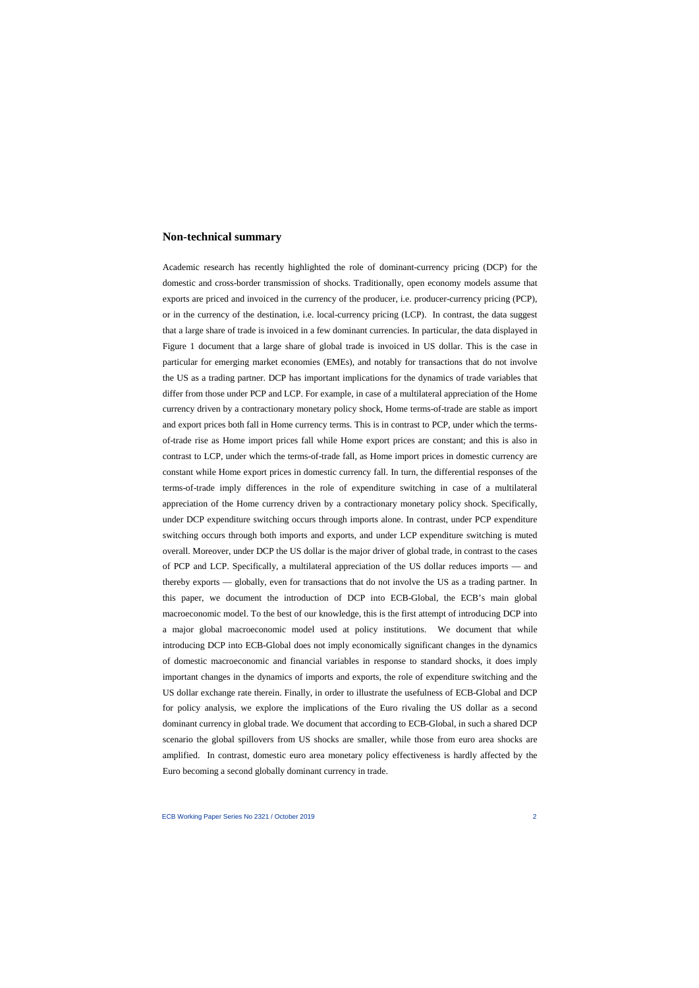## **Non-technical summary**

Academic research has recently highlighted the role of dominant-currency pricing (DCP) for the domestic and cross-border transmission of shocks. Traditionally, open economy models assume that exports are priced and invoiced in the currency of the producer, i.e. producer-currency pricing (PCP), or in the currency of the destination, i.e. local-currency pricing (LCP). In contrast, the data suggest that a large share of trade is invoiced in a few dominant currencies. In particular, the data displayed in Figure 1 document that a large share of global trade is invoiced in US dollar. This is the case in particular for emerging market economies (EMEs), and notably for transactions that do not involve the US as a trading partner. DCP has important implications for the dynamics of trade variables that differ from those under PCP and LCP. For example, in case of a multilateral appreciation of the Home currency driven by a contractionary monetary policy shock, Home terms-of-trade are stable as import and export prices both fall in Home currency terms. This is in contrast to PCP, under which the termsof-trade rise as Home import prices fall while Home export prices are constant; and this is also in contrast to LCP, under which the terms-of-trade fall, as Home import prices in domestic currency are constant while Home export prices in domestic currency fall. In turn, the differential responses of the terms-of-trade imply differences in the role of expenditure switching in case of a multilateral appreciation of the Home currency driven by a contractionary monetary policy shock. Specifically, under DCP expenditure switching occurs through imports alone. In contrast, under PCP expenditure switching occurs through both imports and exports, and under LCP expenditure switching is muted overall. Moreover, under DCP the US dollar is the major driver of global trade, in contrast to the cases of PCP and LCP. Specifically, a multilateral appreciation of the US dollar reduces imports — and thereby exports — globally, even for transactions that do not involve the US as a trading partner. In this paper, we document the introduction of DCP into ECB-Global, the ECB's main global macroeconomic model. To the best of our knowledge, this is the first attempt of introducing DCP into a major global macroeconomic model used at policy institutions. We document that while introducing DCP into ECB-Global does not imply economically significant changes in the dynamics of domestic macroeconomic and financial variables in response to standard shocks, it does imply important changes in the dynamics of imports and exports, the role of expenditure switching and the US dollar exchange rate therein. Finally, in order to illustrate the usefulness of ECB-Global and DCP for policy analysis, we explore the implications of the Euro rivaling the US dollar as a second dominant currency in global trade. We document that according to ECB-Global, in such a shared DCP scenario the global spillovers from US shocks are smaller, while those from euro area shocks are amplified. In contrast, domestic euro area monetary policy effectiveness is hardly affected by the Euro becoming a second globally dominant currency in trade.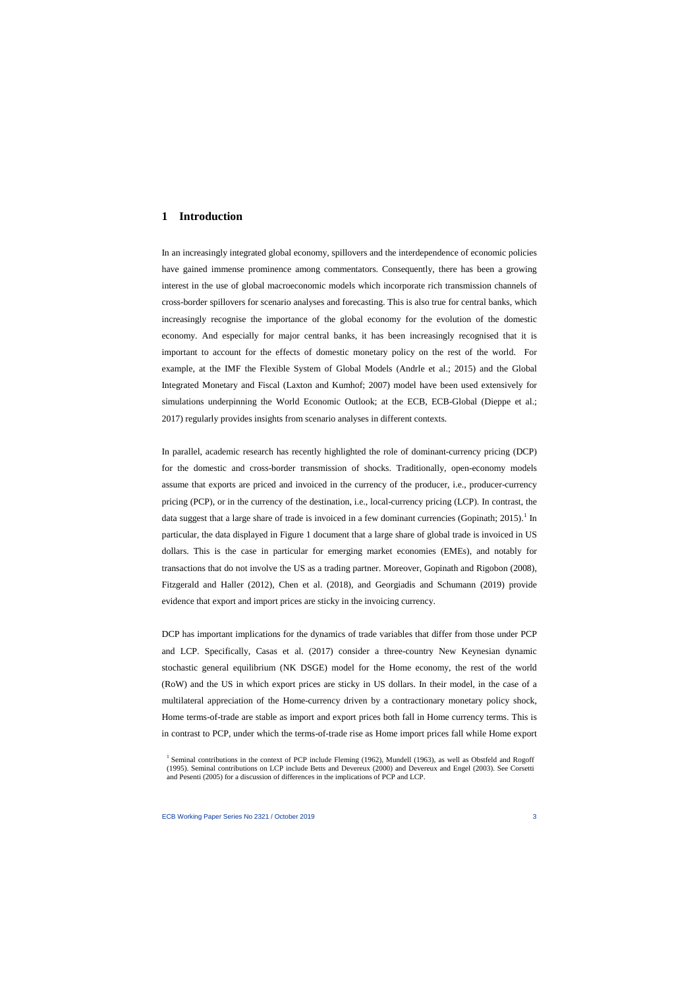# **1 Introduction**

In an increasingly integrated global economy, spillovers and the interdependence of economic policies have gained immense prominence among commentators. Consequently, there has been a growing interest in the use of global macroeconomic models which incorporate rich transmission channels of cross-border spillovers for scenario analyses and forecasting. This is also true for central banks, which increasingly recognise the importance of the global economy for the evolution of the domestic economy. And especially for major central banks, it has been increasingly recognised that it is important to account for the effects of domestic monetary policy on the rest of the world. For example, at the IMF the Flexible System of Global Models (Andrle et al.; 2015) and the Global Integrated Monetary and Fiscal (Laxton and Kumhof; 2007) model have been used extensively for simulations underpinning the World Economic Outlook; at the ECB, ECB-Global (Dieppe et al.; 2017) regularly provides insights from scenario analyses in different contexts.

In parallel, academic research has recently highlighted the role of dominant-currency pricing (DCP) for the domestic and cross-border transmission of shocks. Traditionally, open-economy models assume that exports are priced and invoiced in the currency of the producer, i.e., producer-currency pricing (PCP), or in the currency of the destination, i.e., local-currency pricing (LCP). In contrast, the data suggest that a large share of trade is invoiced in a few dominant currencies (Gopinath; 20[1](#page-3-0)5).<sup>1</sup> In particular, the data displayed in Figure 1 document that a large share of global trade is invoiced in US dollars. This is the case in particular for emerging market economies (EMEs), and notably for transactions that do not involve the US as a trading partner. Moreover, Gopinath and Rigobon (2008), Fitzgerald and Haller (2012), Chen et al. (2018), and Georgiadis and Schumann (2019) provide evidence that export and import prices are sticky in the invoicing currency.

DCP has important implications for the dynamics of trade variables that differ from those under PCP and LCP. Specifically, Casas et al. (2017) consider a three-country New Keynesian dynamic stochastic general equilibrium (NK DSGE) model for the Home economy, the rest of the world (RoW) and the US in which export prices are sticky in US dollars. In their model, in the case of a multilateral appreciation of the Home-currency driven by a contractionary monetary policy shock, Home terms-of-trade are stable as import and export prices both fall in Home currency terms. This is in contrast to PCP, under which the terms-of-trade rise as Home import prices fall while Home export

<span id="page-3-0"></span><sup>&</sup>lt;sup>1</sup> Seminal contributions in the context of PCP include Fleming (1962), Mundell (1963), as well as Obstfeld and Rogoff (1995). Seminal contributions on LCP include Betts and Devereux (2000) and Devereux and Engel (2003). See Corsetti and Pesenti (2005) for a discussion of differences in the implications of PCP and LCP.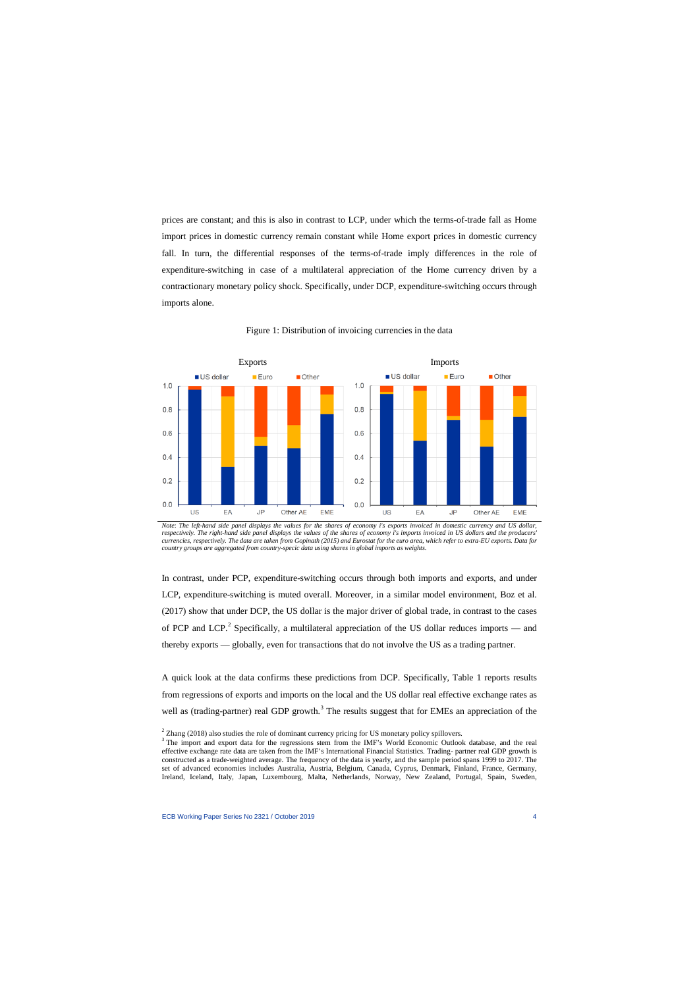prices are constant; and this is also in contrast to LCP, under which the terms-of-trade fall as Home import prices in domestic currency remain constant while Home export prices in domestic currency fall. In turn, the differential responses of the terms-of-trade imply differences in the role of expenditure-switching in case of a multilateral appreciation of the Home currency driven by a contractionary monetary policy shock. Specifically, under DCP, expenditure-switching occurs through imports alone.



Figure 1: Distribution of invoicing currencies in the data

*Note*: *The left-hand side panel displays the values for the shares of economy i's exports invoiced in domestic currency and US dollar,*  respectively. The right-hand side panel displays the values of the shares of economy i's imports invoiced in US dollars and the producers' *currencies, respectively. The data are taken from Gopinath (2015) and Eurostat for the euro area, which refer to extra-EU exports. Data for country groups are aggregated from country-specic data using shares in global imports as weights.*

In contrast, under PCP, expenditure-switching occurs through both imports and exports, and under LCP, expenditure-switching is muted overall. Moreover, in a similar model environment, Boz et al. (2017) show that under DCP, the US dollar is the major driver of global trade, in contrast to the cases of PCP and LCP.<sup>[2](#page-4-0)</sup> Specifically, a multilateral appreciation of the US dollar reduces imports — and thereby exports — globally, even for transactions that do not involve the US as a trading partner.

A quick look at the data confirms these predictions from DCP. Specifically, Table 1 reports results from regressions of exports and imports on the local and the US dollar real effective exchange rates as well as (trading-partner) real GDP growth.<sup>[3](#page-4-1)</sup> The results suggest that for EMEs an appreciation of the

 $2$  Zhang (2018) also studies the role of dominant currency pricing for US monetary policy spillovers.

<span id="page-4-1"></span><span id="page-4-0"></span><sup>&</sup>lt;sup>3</sup> The import and export data for the regressions stem from the IMF's World Economic Outlook database, and the real effective exchange rate data are taken from the IMF's International Financial Statistics. Trading- partner real GDP growth is constructed as a trade-weighted average. The frequency of the data is yearly, and the sample period spans 1999 to 2017. The set of advanced economies includes Australia, Austria, Belgium, Canada, Cyprus, Denmark, Finland, France, Germany, Ireland, Iceland, Italy, Japan, Luxembourg, Malta, Netherlands, Norway, New Zealand, Portugal, Spain, Sweden,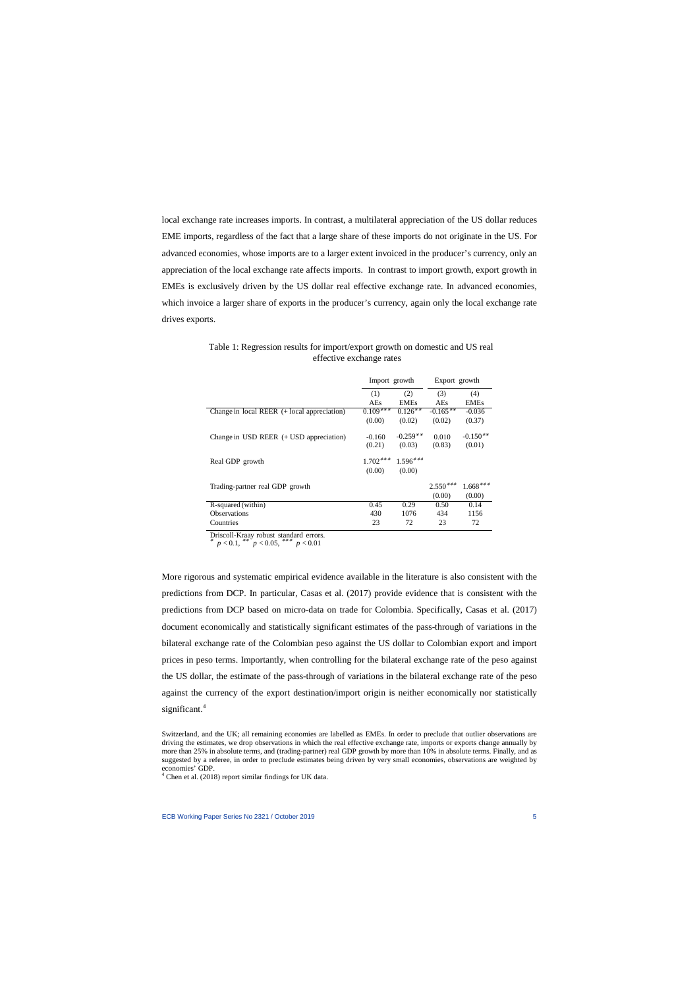local exchange rate increases imports. In contrast, a multilateral appreciation of the US dollar reduces EME imports, regardless of the fact that a large share of these imports do not originate in the US. For advanced economies, whose imports are to a larger extent invoiced in the producer's currency, only an appreciation of the local exchange rate affects imports. In contrast to import growth, export growth in EMEs is exclusively driven by the US dollar real effective exchange rate. In advanced economies, which invoice a larger share of exports in the producer's currency, again only the local exchange rate drives exports.

|                                               | Import growth |             | Export growth |             |
|-----------------------------------------------|---------------|-------------|---------------|-------------|
|                                               | (1)           | (2)         | (3)           | (4)         |
|                                               | AEs           | <b>EMEs</b> | AEs           | <b>EMEs</b> |
| Change in local REER $(+$ local appreciation) | $0.109***$    | $0.126***$  | $-0.165***$   | $-0.036$    |
|                                               | (0.00)        | (0.02)      | (0.02)        | (0.37)      |
| Change in USD REER $(+$ USD appreciation)     | $-0.160$      | $-0.259**$  | 0.010         | $-0.150**$  |
|                                               | (0.21)        | (0.03)      | (0.83)        | (0.01)      |
| Real GDP growth                               | $1.702***$    | $1.596***$  |               |             |
|                                               | (0.00)        | (0.00)      |               |             |
| Trading-partner real GDP growth               |               |             | $2.550***$    | $1.668***$  |
|                                               |               |             | (0.00)        | (0.00)      |
| R-squared (within)                            | 0.45          | 0.29        | 0.50          | 0.14        |
| <b>Observations</b>                           | 430           | 1076        | 434           | 1156        |
| Countries                                     | 23            | 72          | 23            | 72          |

Table 1: Regression results for import/export growth on domestic and US real effective exchange rates

Driscoll-Kraay robust standard errors.

 $p < 0.1$ , \*\*  $p < 0.05$ , \*\*\*  $p < 0.01$ 

More rigorous and systematic empirical evidence available in the literature is also consistent with the predictions from DCP. In particular, Casas et al. (2017) provide evidence that is consistent with the predictions from DCP based on micro-data on trade for Colombia. Specifically, Casas et al. (2017) document economically and statistically significant estimates of the pass-through of variations in the bilateral exchange rate of the Colombian peso against the US dollar to Colombian export and import prices in peso terms. Importantly, when controlling for the bilateral exchange rate of the peso against the US dollar, the estimate of the pass-through of variations in the bilateral exchange rate of the peso against the currency of the export destination/import origin is neither economically nor statistically significant.<sup>[4](#page-5-0)</sup>

Switzerland, and the UK; all remaining economies are labelled as EMEs. In order to preclude that outlier observations are driving the estimates, we drop observations in which the real effective exchange rate, imports or exports change annually by more than 25% in absolute terms, and (trading-partner) real GDP growth by more than 10% in absolute terms. Finally, and as suggested by a referee, in order to preclude estimates being driven by very small economies, observations are weighted by economies' GDP.

<span id="page-5-0"></span><sup>4</sup> Chen et al. (2018) report similar findings for UK data.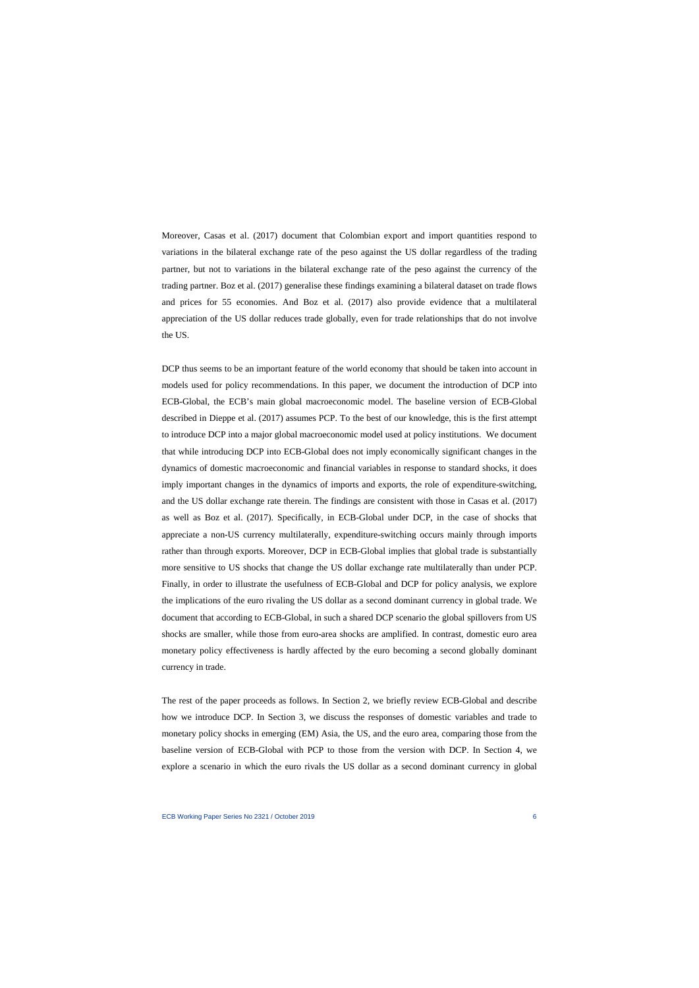Moreover, Casas et al. (2017) document that Colombian export and import quantities respond to variations in the bilateral exchange rate of the peso against the US dollar regardless of the trading partner, but not to variations in the bilateral exchange rate of the peso against the currency of the trading partner. Boz et al. (2017) generalise these findings examining a bilateral dataset on trade flows and prices for 55 economies. And Boz et al. (2017) also provide evidence that a multilateral appreciation of the US dollar reduces trade globally, even for trade relationships that do not involve the US.

DCP thus seems to be an important feature of the world economy that should be taken into account in models used for policy recommendations. In this paper, we document the introduction of DCP into ECB-Global, the ECB's main global macroeconomic model. The baseline version of ECB-Global described in Dieppe et al. (2017) assumes PCP. To the best of our knowledge, this is the first attempt to introduce DCP into a major global macroeconomic model used at policy institutions. We document that while introducing DCP into ECB-Global does not imply economically significant changes in the dynamics of domestic macroeconomic and financial variables in response to standard shocks, it does imply important changes in the dynamics of imports and exports, the role of expenditure-switching, and the US dollar exchange rate therein. The findings are consistent with those in Casas et al. (2017) as well as Boz et al. (2017). Specifically, in ECB-Global under DCP, in the case of shocks that appreciate a non-US currency multilaterally, expenditure-switching occurs mainly through imports rather than through exports. Moreover, DCP in ECB-Global implies that global trade is substantially more sensitive to US shocks that change the US dollar exchange rate multilaterally than under PCP. Finally, in order to illustrate the usefulness of ECB-Global and DCP for policy analysis, we explore the implications of the euro rivaling the US dollar as a second dominant currency in global trade. We document that according to ECB-Global, in such a shared DCP scenario the global spillovers from US shocks are smaller, while those from euro-area shocks are amplified. In contrast, domestic euro area monetary policy effectiveness is hardly affected by the euro becoming a second globally dominant currency in trade.

The rest of the paper proceeds as follows. In Section 2, we briefly review ECB-Global and describe how we introduce DCP. In Section 3, we discuss the responses of domestic variables and trade to monetary policy shocks in emerging (EM) Asia, the US, and the euro area, comparing those from the baseline version of ECB-Global with PCP to those from the version with DCP. In Section 4, we explore a scenario in which the euro rivals the US dollar as a second dominant currency in global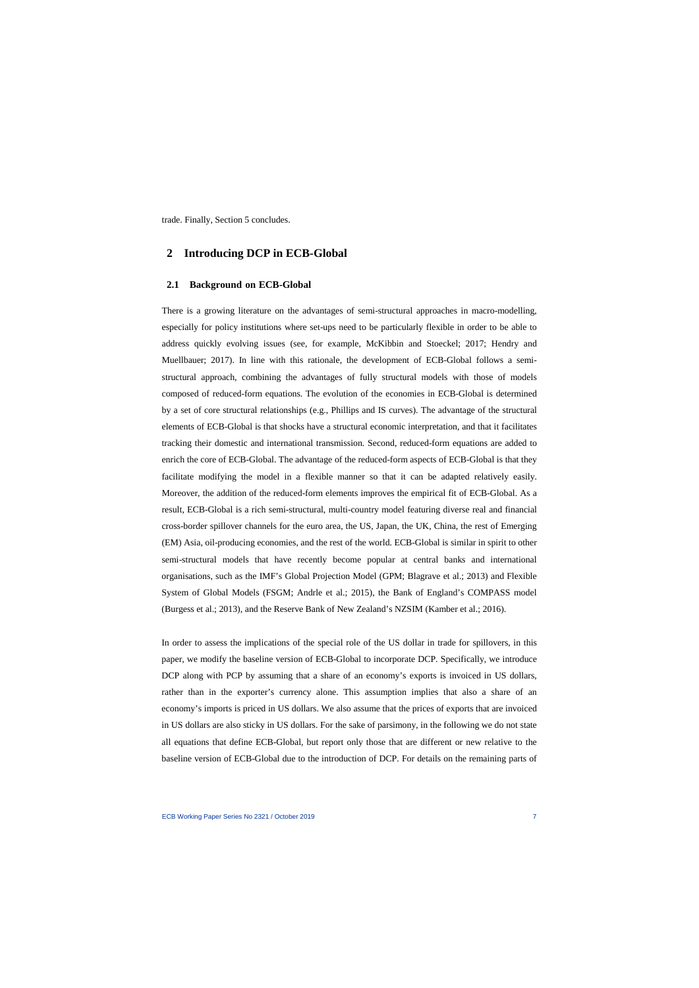trade. Finally, Section 5 concludes.

# **2 Introducing DCP in ECB-Global**

## **2.1 Background on ECB-Global**

There is a growing literature on the advantages of semi-structural approaches in macro-modelling, especially for policy institutions where set-ups need to be particularly flexible in order to be able to address quickly evolving issues (see, for example, McKibbin and Stoeckel; 2017; Hendry and Muellbauer; 2017). In line with this rationale, the development of ECB-Global follows a semistructural approach, combining the advantages of fully structural models with those of models composed of reduced-form equations. The evolution of the economies in ECB-Global is determined by a set of core structural relationships (e.g., Phillips and IS curves). The advantage of the structural elements of ECB-Global is that shocks have a structural economic interpretation, and that it facilitates tracking their domestic and international transmission. Second, reduced-form equations are added to enrich the core of ECB-Global. The advantage of the reduced-form aspects of ECB-Global is that they facilitate modifying the model in a flexible manner so that it can be adapted relatively easily. Moreover, the addition of the reduced-form elements improves the empirical fit of ECB-Global. As a result, ECB-Global is a rich semi-structural, multi-country model featuring diverse real and financial cross-border spillover channels for the euro area, the US, Japan, the UK, China, the rest of Emerging (EM) Asia, oil-producing economies, and the rest of the world. ECB-Global is similar in spirit to other semi-structural models that have recently become popular at central banks and international organisations, such as the IMF's Global Projection Model (GPM; Blagrave et al.; 2013) and Flexible System of Global Models (FSGM; Andrle et al.; 2015), the Bank of England's COMPASS model (Burgess et al.; 2013), and the Reserve Bank of New Zealand's NZSIM (Kamber et al.; 2016).

In order to assess the implications of the special role of the US dollar in trade for spillovers, in this paper, we modify the baseline version of ECB-Global to incorporate DCP. Specifically, we introduce DCP along with PCP by assuming that a share of an economy's exports is invoiced in US dollars, rather than in the exporter's currency alone. This assumption implies that also a share of an economy's imports is priced in US dollars. We also assume that the prices of exports that are invoiced in US dollars are also sticky in US dollars. For the sake of parsimony, in the following we do not state all equations that define ECB-Global, but report only those that are different or new relative to the baseline version of ECB-Global due to the introduction of DCP. For details on the remaining parts of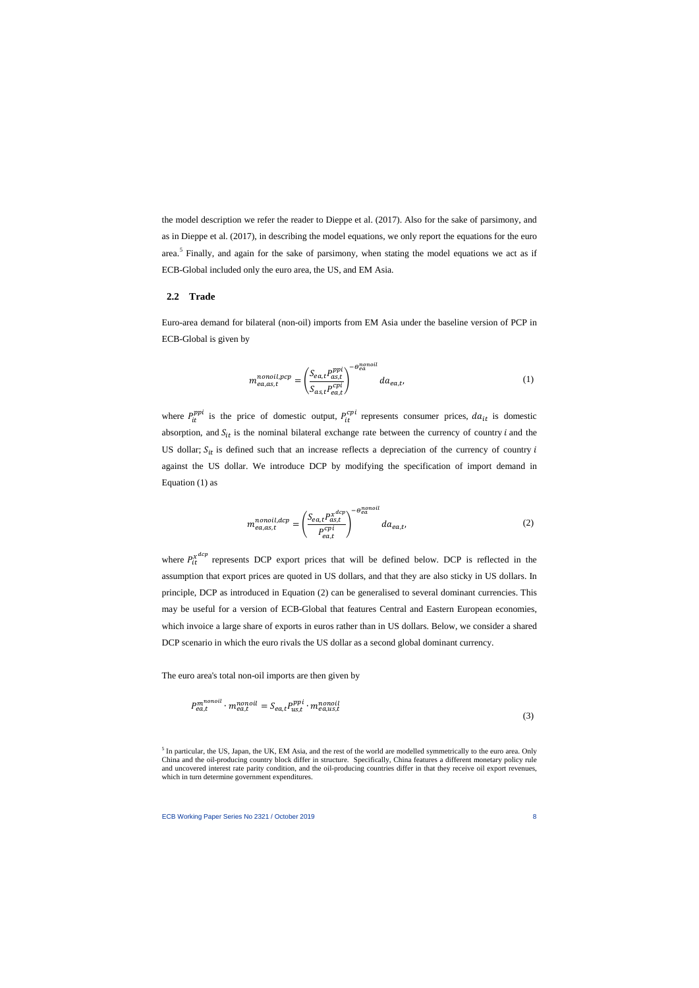the model description we refer the reader to Dieppe et al. (2017). Also for the sake of parsimony, and as in Dieppe et al. (2017), in describing the model equations, we only report the equations for the euro area.<sup>[5](#page-8-0)</sup> Finally, and again for the sake of parsimony, when stating the model equations we act as if ECB-Global included only the euro area, the US, and EM Asia.

## **2.2 Trade**

Euro-area demand for bilateral (non-oil) imports from EM Asia under the baseline version of PCP in ECB-Global is given by

$$
m_{ea,as,t}^{nonoil,pcp} = \left(\frac{S_{ea,t}P_{as,t}^{ppi}}{S_{as,t}P_{ea,t}^{cpi}}\right)^{-\theta_{ea}^{nonoil}}da_{ea,t},
$$
\n(1)

where  $P_{it}^{ppi}$  is the price of domestic output,  $P_{it}^{cpi}$  represents consumer prices,  $da_{it}$  is domestic absorption, and  $S_{it}$  is the nominal bilateral exchange rate between the currency of country *i* and the US dollar;  $S_{it}$  is defined such that an increase reflects a depreciation of the currency of country i against the US dollar. We introduce DCP by modifying the specification of import demand in Equation (1) as

$$
m_{ea,as,t}^{nonoil,dcp} = \left(\frac{S_{ea,t}P_{as,t}^{x^{dcp}}}{P_{ea,t}^{cpi}}\right)^{-\theta_{ea}^{nonoil}}da_{ea,t},
$$
\n(2)

where  $P_{it}^{x^{dcp}}$  represents DCP export prices that will be defined below. DCP is reflected in the assumption that export prices are quoted in US dollars, and that they are also sticky in US dollars. In principle, DCP as introduced in Equation (2) can be generalised to several dominant currencies. This may be useful for a version of ECB-Global that features Central and Eastern European economies, which invoice a large share of exports in euros rather than in US dollars. Below, we consider a shared DCP scenario in which the euro rivals the US dollar as a second global dominant currency.

The euro area's total non-oil imports are then given by

$$
P_{ea,t}^{monoil} \cdot m_{ea,t}^{nonoil} = S_{ea,t} P_{us,t}^{ppi} \cdot m_{ea,us,t}^{nonoil}
$$
\n(3)

<span id="page-8-0"></span><sup>5</sup> In particular, the US, Japan, the UK, EM Asia, and the rest of the world are modelled symmetrically to the euro area. Only China and the oil-producing country block differ in structure. Specifically, China features a different monetary policy rule and uncovered interest rate parity condition, and the oil-producing countries differ in that they receive oil export revenues, which in turn determine government expenditures.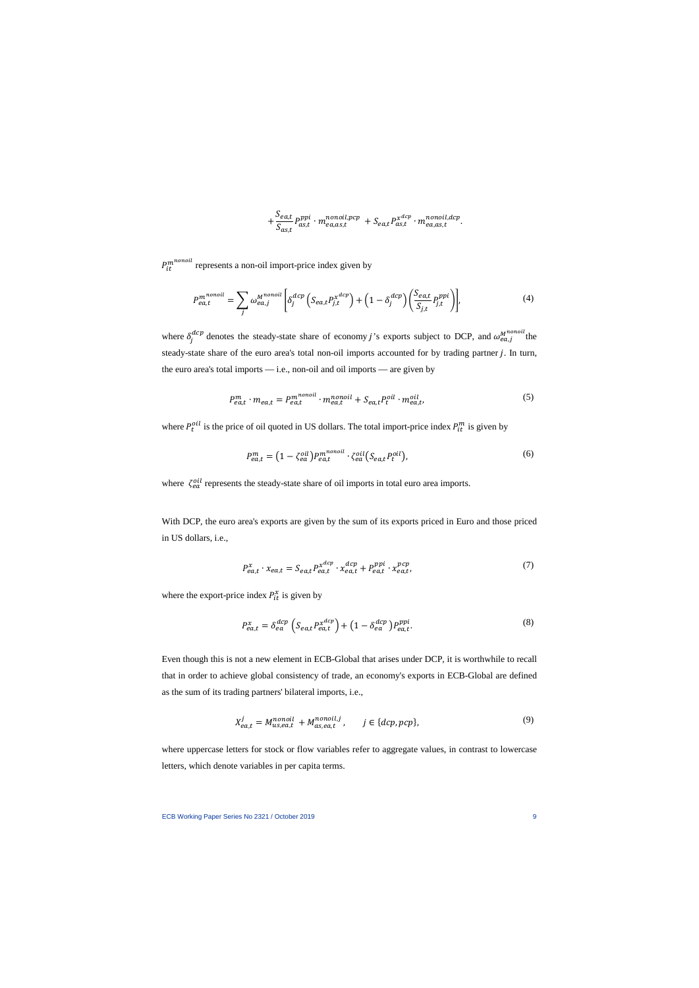$$
+\frac{S_{ea,t}}{S_{as,t}}P_{as,t}^{ppi} \cdot m_{ea,as,t}^{nonoil,pcp} + S_{ea,t}P_{as,t}^{x^{dcp}} \cdot m_{ea,as,t}^{nonoil,dcp}.
$$

 $P_{it}^{m^{nonout}}$  represents a non-oil import-price index given by

$$
P_{ea,t}^{m^{nonoil}} = \sum_{j} \omega_{ea,j}^{M^{nonoil}} \left[ \delta_j^{dcp} \left( S_{ea,t} P_{j,t}^{x^{dcp}} \right) + \left( 1 - \delta_j^{dcp} \right) \left( \frac{S_{ea,t}}{S_{j,t}} P_{j,t}^{ppi} \right) \right],\tag{4}
$$

where  $\delta_j^{dcp}$  denotes the steady-state share of economy j's exports subject to DCP, and  $\omega_{ea,j}^{M^{nonoul}}$  the steady-state share of the euro area's total non-oil imports accounted for by trading partner j. In turn, the euro area's total imports — i.e., non-oil and oil imports — are given by

$$
P_{ea,t}^{m} \cdot m_{ea,t} = P_{ea,t}^{m^{nonoil}} \cdot m_{ea,t}^{nonoil} + S_{ea,t} P_{t}^{oil} \cdot m_{ea,t}^{oil}, \qquad (5)
$$

where  $P_t^{oil}$  is the price of oil quoted in US dollars. The total import-price index  $P_{it}^{m}$  is given by

$$
P_{ea,t}^{m} = (1 - \zeta_{ea}^{oil}) P_{ea,t}^{m^{nonoil}} \cdot \zeta_{ea}^{oil} (S_{ea,t} P_{t}^{oil}), \qquad (6)
$$

where  $\zeta_{ea}^{oil}$  represents the steady-state share of oil imports in total euro area imports.

With DCP, the euro area's exports are given by the sum of its exports priced in Euro and those priced in US dollars, i.e.,

$$
P_{ea,t}^x \cdot x_{ea,t} = S_{ea,t} P_{ea,t}^{x^{dcp}} \cdot x_{ea,t}^{dcp} + P_{ea,t}^{ppi} \cdot x_{ea,t}^{pcp},\tag{7}
$$

where the export-price index  $P_{it}^x$  is given by

$$
P_{ea,t}^x = \delta_{ea}^{dcp} \left( S_{ea,t} P_{ea,t}^{x^{dcp}} \right) + \left( 1 - \delta_{ea}^{dcp} \right) P_{ea,t}^{ppi}.
$$
\n(8)

Even though this is not a new element in ECB-Global that arises under DCP, it is worthwhile to recall that in order to achieve global consistency of trade, an economy's exports in ECB-Global are defined as the sum of its trading partners' bilateral imports, i.e.,

$$
X_{ea,t}^j = M_{us,ea,t}^{nonoil} + M_{as,ea,t}^{nonoil,j}, \qquad j \in \{dcp,pcp\},\tag{9}
$$

where uppercase letters for stock or flow variables refer to aggregate values, in contrast to lowercase letters, which denote variables in per capita terms.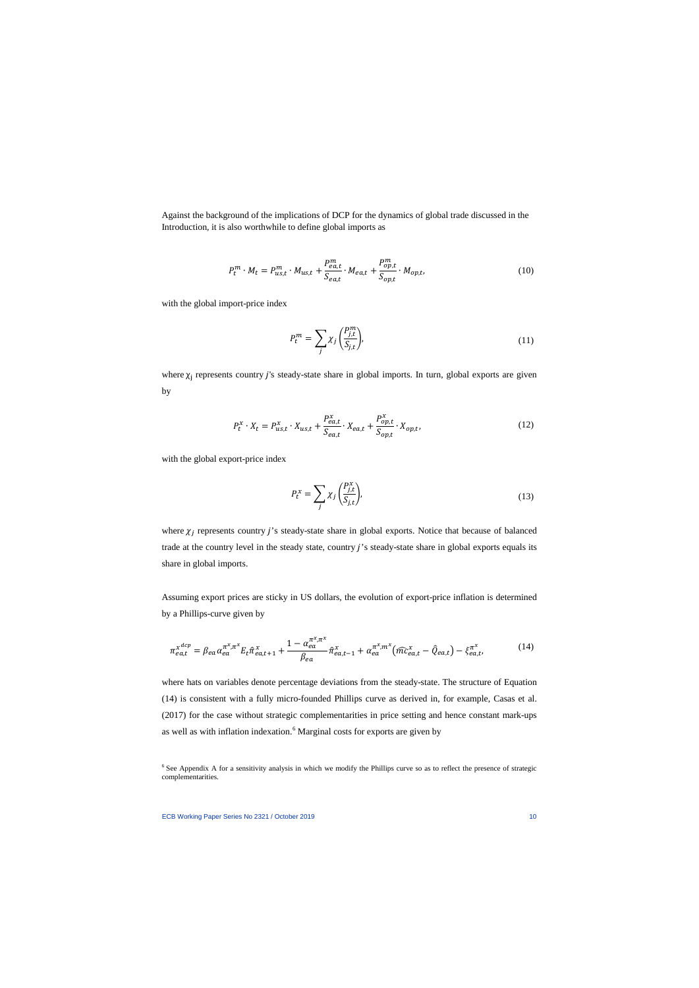Against the background of the implications of DCP for the dynamics of global trade discussed in the Introduction, it is also worthwhile to define global imports as

$$
P_t^m \cdot M_t = P_{us,t}^m \cdot M_{us,t} + \frac{P_{ea,t}^m}{S_{ea,t}} \cdot M_{ea,t} + \frac{P_{op,t}^m}{S_{op,t}} \cdot M_{op,t},\tag{10}
$$

with the global import-price index

$$
P_t^m = \sum_j \chi_j \left(\frac{P_{j,t}^m}{S_{j,t}}\right),\tag{11}
$$

where  $\chi_i$  represents country j's steady-state share in global imports. In turn, global exports are given by

$$
P_t^x \cdot X_t = P_{us,t}^x \cdot X_{us,t} + \frac{P_{ea,t}^x}{S_{ea,t}} \cdot X_{ea,t} + \frac{P_{op,t}^x}{S_{op,t}} \cdot X_{op,t},
$$
\n(12)

with the global export-price index

$$
P_t^x = \sum_j \chi_j \left(\frac{P_{j,t}^x}{S_{j,t}}\right),\tag{13}
$$

where  $\chi_j$  represents country j's steady-state share in global exports. Notice that because of balanced trade at the country level in the steady state, country j's steady-state share in global exports equals its share in global imports.

Assuming export prices are sticky in US dollars, the evolution of export-price inflation is determined by a Phillips-curve given by

$$
\pi_{ea,t}^{x^{dcp}} = \beta_{ea} \alpha_{ea}^{\pi^x, \pi^x} E_t \hat{\pi}_{ea,t+1}^x + \frac{1 - \alpha_{ea}^{\pi^x, \pi^x}}{\beta_{ea}} \hat{\pi}_{ea,t-1}^x + \alpha_{ea}^{\pi^x, m^x} (\hat{m} \hat{c}_{ea,t}^x - \hat{Q}_{ea,t}) - \xi_{ea,t}^{\pi^x},
$$
(14)

where hats on variables denote percentage deviations from the steady-state. The structure of Equation (14) is consistent with a fully micro-founded Phillips curve as derived in, for example, Casas et al. (2017) for the case without strategic complementarities in price setting and hence constant mark-ups as well as with inflation indexation.<sup>[6](#page-10-0)</sup> Marginal costs for exports are given by

<span id="page-10-0"></span><sup>&</sup>lt;sup>6</sup> See Appendix A for a sensitivity analysis in which we modify the Phillips curve so as to reflect the presence of strategic complementarities.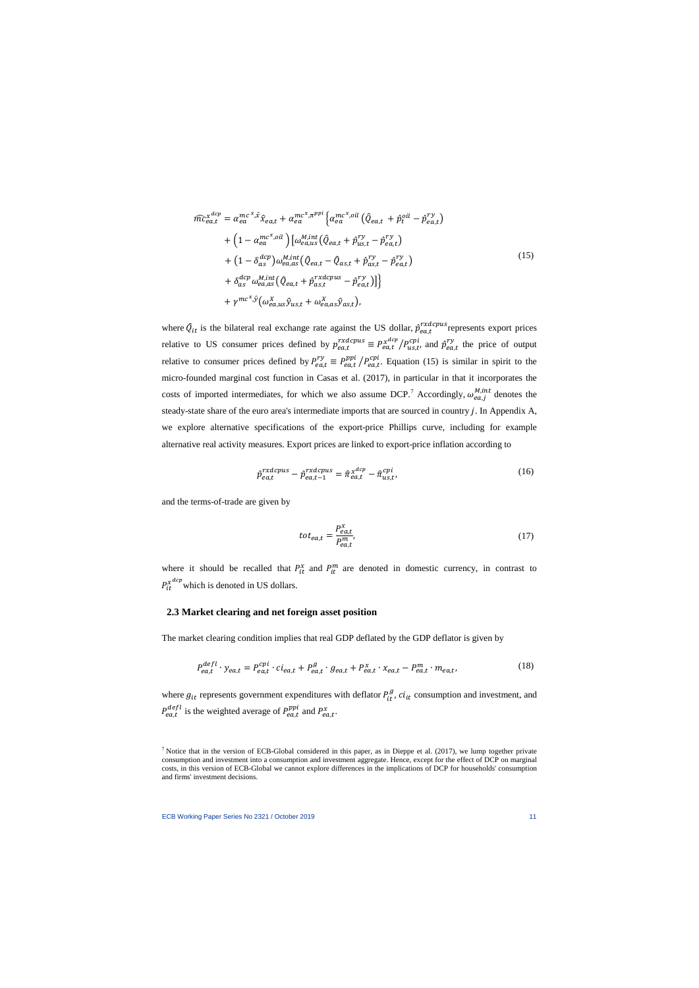$$
\widehat{mc}_{ea,t}^{x^{dep}} = \alpha_{ea}^{mc^{x}, \hat{x}} \widehat{x}_{ea,t} + \alpha_{ea}^{mc^{x}, \pi^{ppi}} \left\{ \alpha_{ea}^{mc^{x}, oil} \left( \widehat{Q}_{ea,t} + \widehat{p}_{t}^{vil} - \widehat{p}_{ea,t}^{ry} \right) \right. \\
\left. + \left( 1 - \alpha_{ea}^{mc^{x}, oil} \right) \left[ \omega_{ea,us}^{M,int} \left( \widehat{Q}_{ea,t} + \widehat{p}_{us,t}^{ry} - \widehat{p}_{ea,t}^{ry} \right) \right. \\
\left. + \left( 1 - \delta_{as}^{dcp} \right) \omega_{ea,as}^{M,int} \left( \widehat{Q}_{ea,t} - \widehat{Q}_{as,t} + \widehat{p}_{as,t}^{ry} - \widehat{p}_{ea,t}^{ry} \right) \\
\left. + \delta_{as}^{dcp} \omega_{ea,as}^{M,int} \left( \widehat{Q}_{ea,t} + \widehat{p}_{as,t}^{rxdcpus} - \widehat{p}_{ea,t}^{ry} \right) \right] \right\} \\
\left. + \gamma^{mc^{x},\hat{y}} \left( \omega_{ea,us}^{X} \widehat{y}_{us,t} + \omega_{ea,as}^{X} \widehat{y}_{as,t} \right),
$$
\n(15)

where  $\hat{Q}_{it}$  is the bilateral real exchange rate against the US dollar,  $\hat{p}_{ea,t}^{rxdcpus}$  represents export prices relative to US consumer prices defined by  $p_{ea,t}^{rxdcpus} \equiv P_{ea,t}^{x^{dep}}/P_{us,t}^{cpi}$ , and  $\hat{p}_{ea,t}^{ry}$  the price of output relative to consumer prices defined by  $P_{ea,t}^{ry} \equiv P_{ea,t}^{pp1} / P_{ea,t}^{cp1}$ . Equation (15) is similar in spirit to the micro-founded marginal cost function in Casas et al. (2017), in particular in that it incorporates the costs of imported intermediates, for which we also assume DCP.<sup>[7](#page-11-0)</sup> Accordingly,  $\omega_{ea,j}^{M, int}$  denotes the steady-state share of the euro area's intermediate imports that are sourced in country *j*. In Appendix A, we explore alternative specifications of the export-price Phillips curve, including for example alternative real activity measures. Export prices are linked to export-price inflation according to

$$
\hat{p}_{ea,t}^{rxdcpus} - \hat{p}_{ea,t-1}^{rxdcpus} = \hat{\pi}_{ea,t}^{x^{dep}} - \hat{\pi}_{us,t}^{cpi},
$$
\n(16)

and the terms-of-trade are given by

$$
tot_{ea,t} = \frac{P_{ea,t}^x}{P_{ea,t}^m},\tag{17}
$$

where it should be recalled that  $P_{it}^x$  and  $P_{it}^m$  are denoted in domestic currency, in contrast to  $P_{it}^{x^{dcp}}$  which is denoted in US dollars.

#### **2.3 Market clearing and net foreign asset position**

The market clearing condition implies that real GDP deflated by the GDP deflator is given by

$$
P_{ea,t}^{defl} \cdot y_{ea,t} = P_{ea,t}^{cpi} \cdot c i_{ea,t} + P_{ea,t}^{g} \cdot g_{ea,t} + P_{ea,t}^{x} \cdot x_{ea,t} - P_{ea,t}^{m} \cdot m_{ea,t},
$$
\n
$$
\tag{18}
$$

where  $g_{it}$  represents government expenditures with deflator  $P_{it}^g$ ,  $ci_{it}$  consumption and investment, and  $P_{ea,t}^{defl}$  is the weighted average of  $P_{ea,t}^{ppi}$  and  $P_{ea,t}^{x}$ .

<span id="page-11-0"></span> $7$  Notice that in the version of ECB-Global considered in this paper, as in Dieppe et al. (2017), we lump together private consumption and investment into a consumption and investment aggregate. Hence, except for the effect of DCP on marginal costs, in this version of ECB-Global we cannot explore differences in the implications of DCP for households' consumption and firms' investment decisions.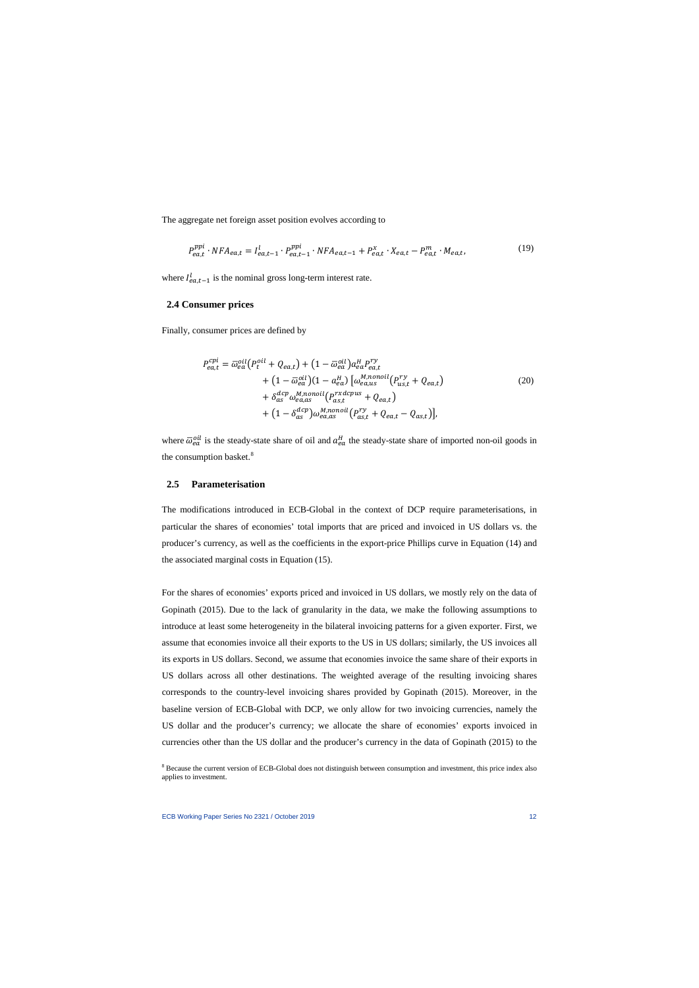The aggregate net foreign asset position evolves according to

$$
P_{ea,t}^{ppi} \cdot NFA_{ea,t} = I_{ea,t-1}^l \cdot P_{ea,t-1}^{ppi} \cdot NFA_{ea,t-1} + P_{ea,t}^x \cdot X_{ea,t} - P_{ea,t}^m \cdot M_{ea,t},
$$
\n(19)

where  $I_{e a,t-1}^l$  is the nominal gross long-term interest rate.

#### **2.4 Consumer prices**

Finally, consumer prices are defined by

$$
P_{ea,t}^{cpi} = \overline{\omega}_{ea}^{oil} (P_t^{oil} + Q_{ea,t}) + (1 - \overline{\omega}_{ea}^{oil}) a_{ea}^H P_{ea,t}^{ry}
$$
  
+ 
$$
(1 - \overline{\omega}_{ea}^{oil})(1 - a_{ea}^H) [\omega_{ea,us}^{M,nonoil}(P_{us,t}^{ry} + Q_{ea,t})
$$
  
+ 
$$
\delta_{as}^{dcp} \omega_{ea,as}^{M,nonoil}(P_{as,t}^{rxdcpus} + Q_{ea,t})
$$
  
+ 
$$
(1 - \delta_{as}^{dcp}) \omega_{ea,as}^{M,nonoil}(P_{as,t}^{ry} + Q_{ea,t} - Q_{as,t})],
$$
 (20)

where  $\bar{\omega}_{ea}^{out}$  is the steady-state share of oil and  $a_{ea}^{H}$  the steady-state share of imported non-oil goods in the consumption basket.<sup>[8](#page-12-0)</sup>

#### **2.5 Parameterisation**

The modifications introduced in ECB-Global in the context of DCP require parameterisations, in particular the shares of economies' total imports that are priced and invoiced in US dollars vs. the producer's currency, as well as the coefficients in the export-price Phillips curve in Equation (14) and the associated marginal costs in Equation (15).

For the shares of economies' exports priced and invoiced in US dollars, we mostly rely on the data of Gopinath (2015). Due to the lack of granularity in the data, we make the following assumptions to introduce at least some heterogeneity in the bilateral invoicing patterns for a given exporter. First, we assume that economies invoice all their exports to the US in US dollars; similarly, the US invoices all its exports in US dollars. Second, we assume that economies invoice the same share of their exports in US dollars across all other destinations. The weighted average of the resulting invoicing shares corresponds to the country-level invoicing shares provided by Gopinath (2015). Moreover, in the baseline version of ECB-Global with DCP, we only allow for two invoicing currencies, namely the US dollar and the producer's currency; we allocate the share of economies' exports invoiced in currencies other than the US dollar and the producer's currency in the data of Gopinath (2015) to the

<span id="page-12-0"></span><sup>&</sup>lt;sup>8</sup> Because the current version of ECB-Global does not distinguish between consumption and investment, this price index also applies to investment.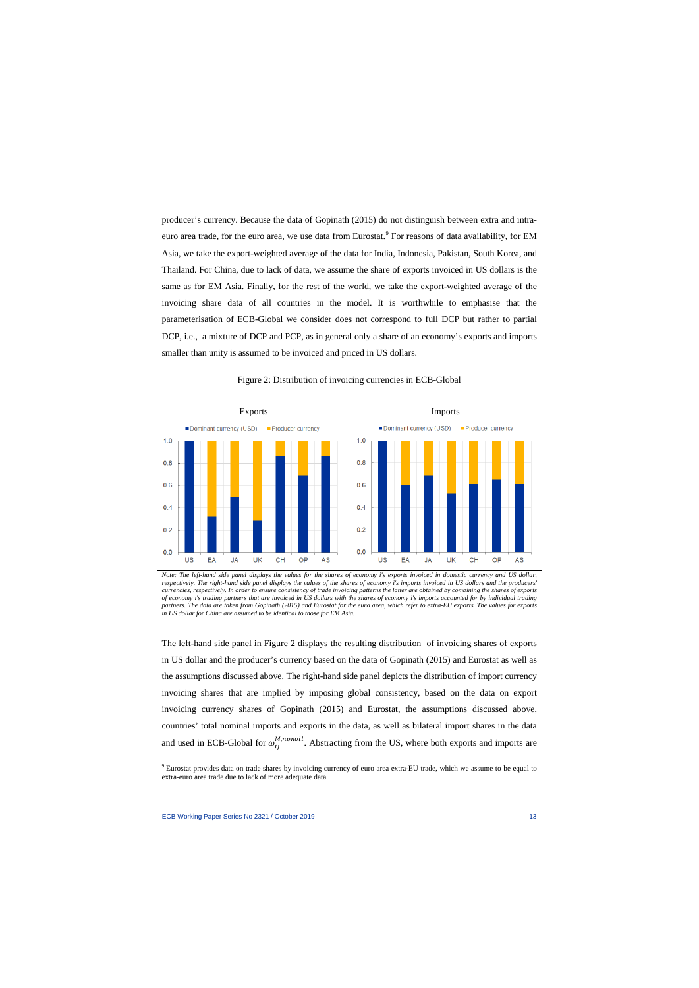producer's currency. Because the data of Gopinath (2015) do not distinguish between extra and intra-euro area trade, for the euro area, we use data from Eurostat.<sup>[9](#page-13-0)</sup> For reasons of data availability, for EM Asia, we take the export-weighted average of the data for India, Indonesia, Pakistan, South Korea, and Thailand. For China, due to lack of data, we assume the share of exports invoiced in US dollars is the same as for EM Asia. Finally, for the rest of the world, we take the export-weighted average of the invoicing share data of all countries in the model. It is worthwhile to emphasise that the parameterisation of ECB-Global we consider does not correspond to full DCP but rather to partial DCP, i.e., a mixture of DCP and PCP, as in general only a share of an economy's exports and imports smaller than unity is assumed to be invoiced and priced in US dollars.



Figure 2: Distribution of invoicing currencies in ECB-Global

*Note: The left-hand side panel displays the values for the shares of economy i's exports invoiced in domestic currency and US dollar, respectively. The right-hand side panel displays the values of the shares of economy i's imports invoiced in US dollars and the producers' currencies, respectively. In order to ensure consistency of trade invoicing patterns the latter are obtained by combining the shares of exports of economy i's trading partners that are invoiced in US dollars with the shares of economy i's imports accounted for by individual trading partners. The data are taken from Gopinath (2015) and Eurostat for the euro area, which refer to extra-EU exports. The values for exports in US dollar for China are assumed to be identical to those for EM Asia.*

The left-hand side panel in Figure 2 displays the resulting distribution of invoicing shares of exports in US dollar and the producer's currency based on the data of Gopinath (2015) and Eurostat as well as the assumptions discussed above. The right-hand side panel depicts the distribution of import currency invoicing shares that are implied by imposing global consistency, based on the data on export invoicing currency shares of Gopinath (2015) and Eurostat, the assumptions discussed above, countries' total nominal imports and exports in the data, as well as bilateral import shares in the data and used in ECB-Global for  $\omega_{ij}^{M,nonoil}$ . Abstracting from the US, where both exports and imports are

<span id="page-13-0"></span><sup>9</sup> Eurostat provides data on trade shares by invoicing currency of euro area extra-EU trade, which we assume to be equal to extra-euro area trade due to lack of more adequate data.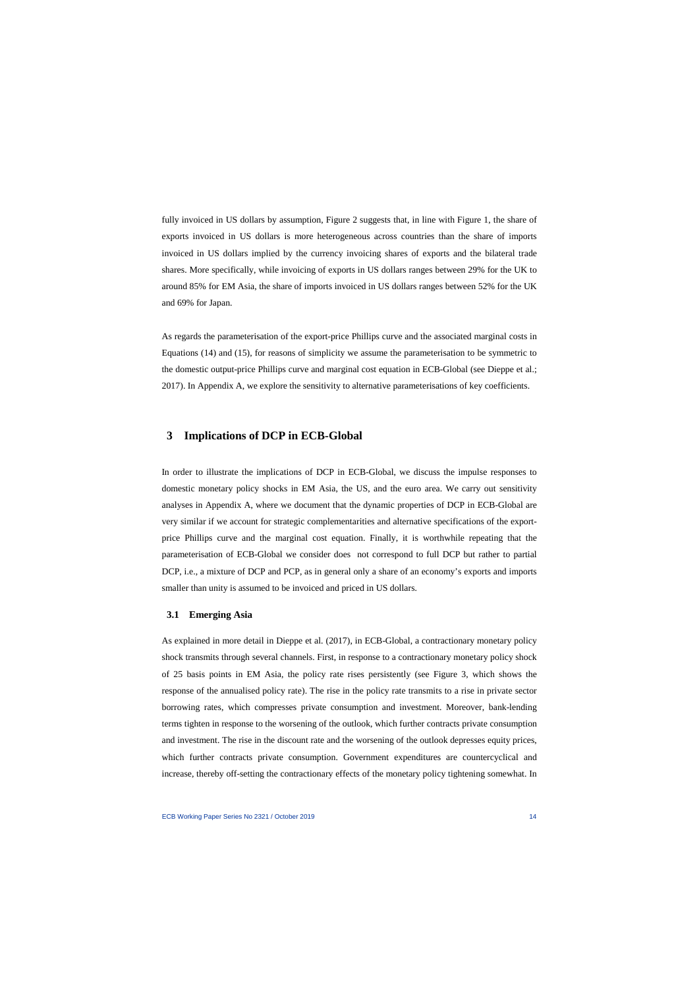fully invoiced in US dollars by assumption, Figure 2 suggests that, in line with Figure 1, the share of exports invoiced in US dollars is more heterogeneous across countries than the share of imports invoiced in US dollars implied by the currency invoicing shares of exports and the bilateral trade shares. More specifically, while invoicing of exports in US dollars ranges between 29% for the UK to around 85% for EM Asia, the share of imports invoiced in US dollars ranges between 52% for the UK and 69% for Japan.

As regards the parameterisation of the export-price Phillips curve and the associated marginal costs in Equations (14) and (15), for reasons of simplicity we assume the parameterisation to be symmetric to the domestic output-price Phillips curve and marginal cost equation in ECB-Global (see Dieppe et al.; 2017). In Appendix A, we explore the sensitivity to alternative parameterisations of key coefficients.

## **3 Implications of DCP in ECB-Global**

In order to illustrate the implications of DCP in ECB-Global, we discuss the impulse responses to domestic monetary policy shocks in EM Asia, the US, and the euro area. We carry out sensitivity analyses in Appendix A, where we document that the dynamic properties of DCP in ECB-Global are very similar if we account for strategic complementarities and alternative specifications of the exportprice Phillips curve and the marginal cost equation. Finally, it is worthwhile repeating that the parameterisation of ECB-Global we consider does not correspond to full DCP but rather to partial DCP, i.e., a mixture of DCP and PCP, as in general only a share of an economy's exports and imports smaller than unity is assumed to be invoiced and priced in US dollars.

#### **3.1 Emerging Asia**

As explained in more detail in Dieppe et al. (2017), in ECB-Global, a contractionary monetary policy shock transmits through several channels. First, in response to a contractionary monetary policy shock of 25 basis points in EM Asia, the policy rate rises persistently (see Figure 3, which shows the response of the annualised policy rate). The rise in the policy rate transmits to a rise in private sector borrowing rates, which compresses private consumption and investment. Moreover, bank-lending terms tighten in response to the worsening of the outlook, which further contracts private consumption and investment. The rise in the discount rate and the worsening of the outlook depresses equity prices, which further contracts private consumption. Government expenditures are countercyclical and increase, thereby off-setting the contractionary effects of the monetary policy tightening somewhat. In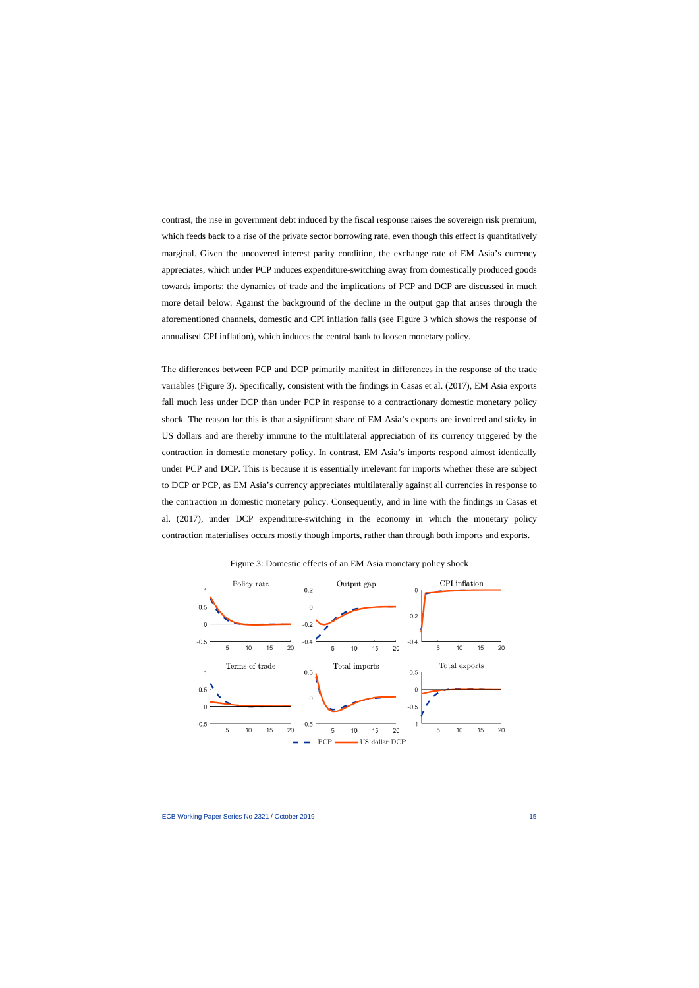contrast, the rise in government debt induced by the fiscal response raises the sovereign risk premium, which feeds back to a rise of the private sector borrowing rate, even though this effect is quantitatively marginal. Given the uncovered interest parity condition, the exchange rate of EM Asia's currency appreciates, which under PCP induces expenditure-switching away from domestically produced goods towards imports; the dynamics of trade and the implications of PCP and DCP are discussed in much more detail below. Against the background of the decline in the output gap that arises through the aforementioned channels, domestic and CPI inflation falls (see Figure 3 which shows the response of annualised CPI inflation), which induces the central bank to loosen monetary policy.

The differences between PCP and DCP primarily manifest in differences in the response of the trade variables (Figure 3). Specifically, consistent with the findings in Casas et al. (2017), EM Asia exports fall much less under DCP than under PCP in response to a contractionary domestic monetary policy shock. The reason for this is that a significant share of EM Asia's exports are invoiced and sticky in US dollars and are thereby immune to the multilateral appreciation of its currency triggered by the contraction in domestic monetary policy. In contrast, EM Asia's imports respond almost identically under PCP and DCP. This is because it is essentially irrelevant for imports whether these are subject to DCP or PCP, as EM Asia's currency appreciates multilaterally against all currencies in response to the contraction in domestic monetary policy. Consequently, and in line with the findings in Casas et al. (2017), under DCP expenditure-switching in the economy in which the monetary policy contraction materialises occurs mostly though imports, rather than through both imports and exports.



Figure 3: Domestic effects of an EM Asia monetary policy shock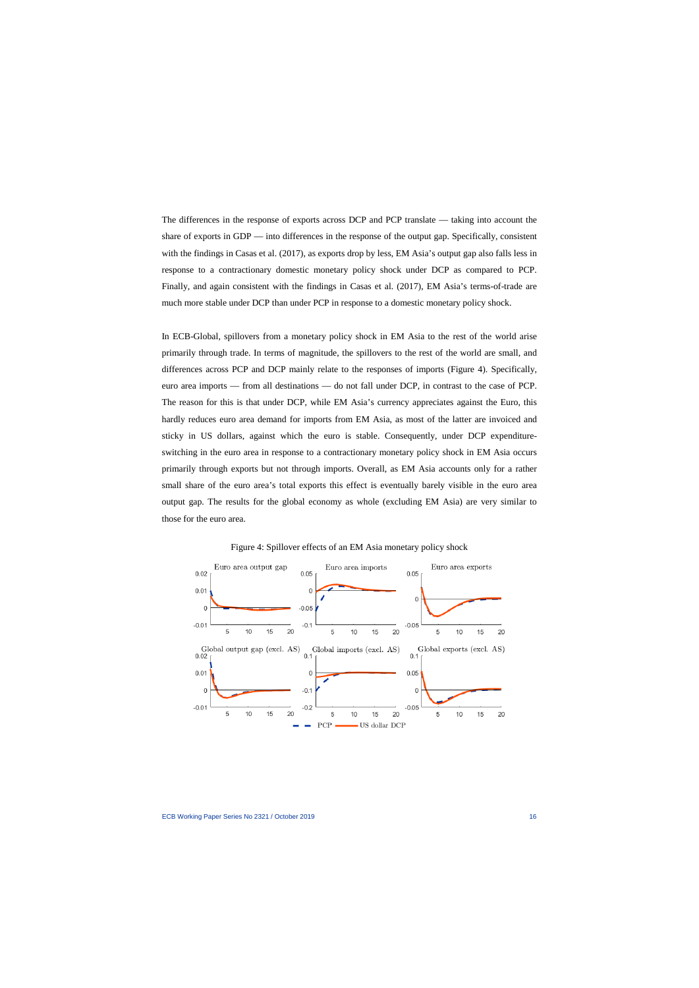The differences in the response of exports across DCP and PCP translate — taking into account the share of exports in GDP — into differences in the response of the output gap. Specifically, consistent with the findings in Casas et al. (2017), as exports drop by less, EM Asia's output gap also falls less in response to a contractionary domestic monetary policy shock under DCP as compared to PCP. Finally, and again consistent with the findings in Casas et al. (2017), EM Asia's terms-of-trade are much more stable under DCP than under PCP in response to a domestic monetary policy shock.

In ECB-Global, spillovers from a monetary policy shock in EM Asia to the rest of the world arise primarily through trade. In terms of magnitude, the spillovers to the rest of the world are small, and differences across PCP and DCP mainly relate to the responses of imports (Figure 4). Specifically, euro area imports — from all destinations — do not fall under DCP, in contrast to the case of PCP. The reason for this is that under DCP, while EM Asia's currency appreciates against the Euro, this hardly reduces euro area demand for imports from EM Asia, as most of the latter are invoiced and sticky in US dollars, against which the euro is stable. Consequently, under DCP expenditureswitching in the euro area in response to a contractionary monetary policy shock in EM Asia occurs primarily through exports but not through imports. Overall, as EM Asia accounts only for a rather small share of the euro area's total exports this effect is eventually barely visible in the euro area output gap. The results for the global economy as whole (excluding EM Asia) are very similar to those for the euro area.



Figure 4: Spillover effects of an EM Asia monetary policy shock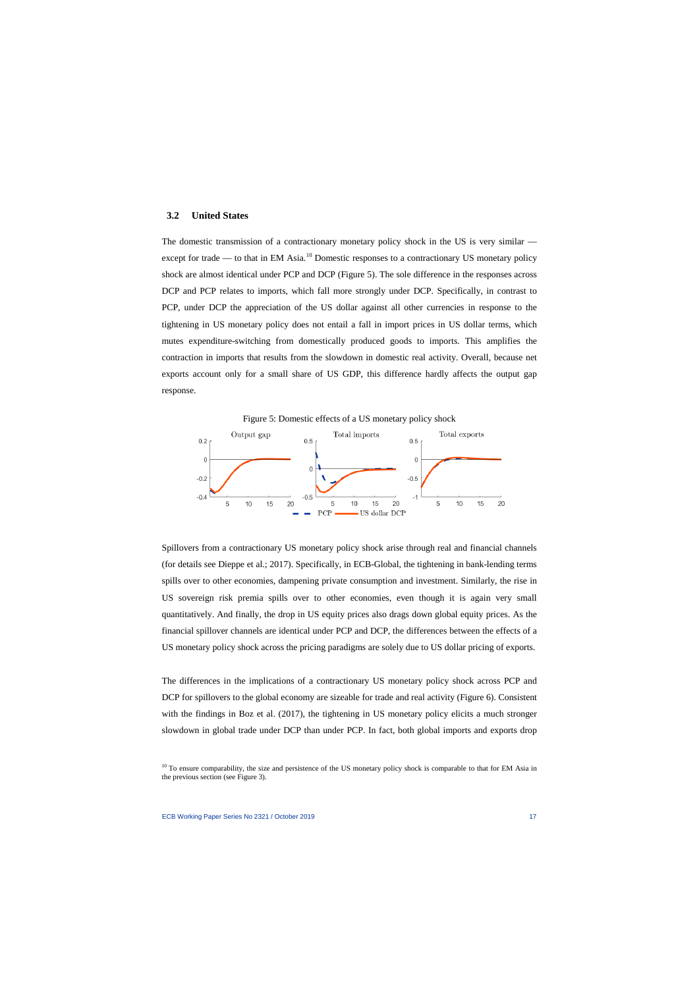## **3.2 United States**

The domestic transmission of a contractionary monetary policy shock in the US is very similar — except for trade — to that in EM Asia.<sup>[10](#page-17-0)</sup> Domestic responses to a contractionary US monetary policy shock are almost identical under PCP and DCP (Figure 5). The sole difference in the responses across DCP and PCP relates to imports, which fall more strongly under DCP. Specifically, in contrast to PCP, under DCP the appreciation of the US dollar against all other currencies in response to the tightening in US monetary policy does not entail a fall in import prices in US dollar terms, which mutes expenditure-switching from domestically produced goods to imports. This amplifies the contraction in imports that results from the slowdown in domestic real activity. Overall, because net exports account only for a small share of US GDP, this difference hardly affects the output gap response.



Spillovers from a contractionary US monetary policy shock arise through real and financial channels (for details see Dieppe et al.; 2017). Specifically, in ECB-Global, the tightening in bank-lending terms spills over to other economies, dampening private consumption and investment. Similarly, the rise in US sovereign risk premia spills over to other economies, even though it is again very small quantitatively. And finally, the drop in US equity prices also drags down global equity prices. As the financial spillover channels are identical under PCP and DCP, the differences between the effects of a US monetary policy shock across the pricing paradigms are solely due to US dollar pricing of exports.

The differences in the implications of a contractionary US monetary policy shock across PCP and DCP for spillovers to the global economy are sizeable for trade and real activity (Figure 6). Consistent with the findings in Boz et al. (2017), the tightening in US monetary policy elicits a much stronger slowdown in global trade under DCP than under PCP. In fact, both global imports and exports drop

<span id="page-17-0"></span><sup>&</sup>lt;sup>10</sup> To ensure comparability, the size and persistence of the US monetary policy shock is comparable to that for EM Asia in the previous section (see Figure 3).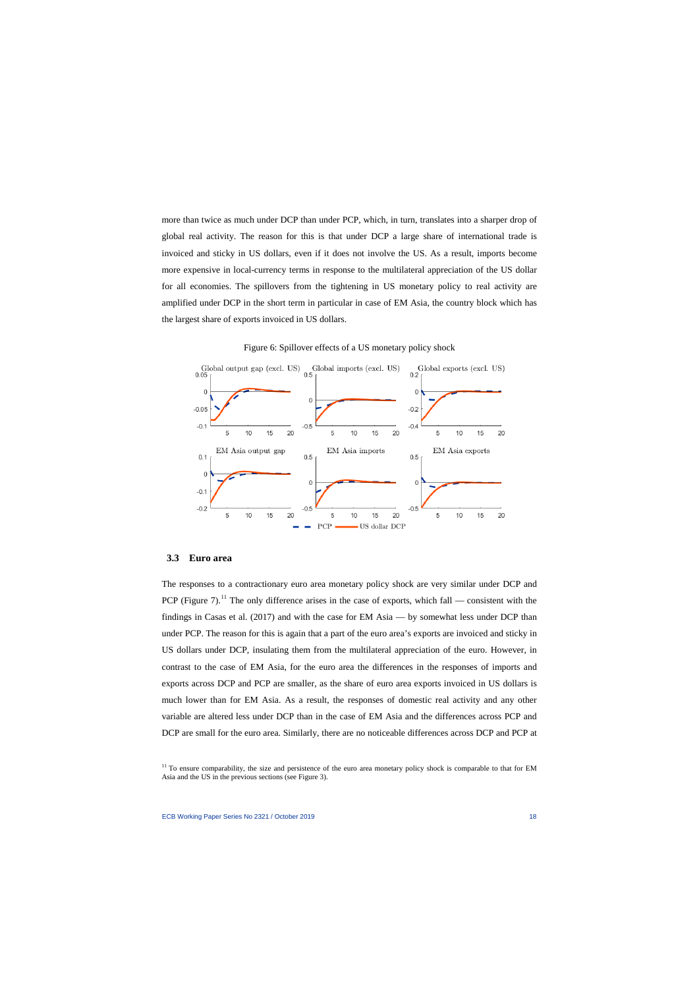more than twice as much under DCP than under PCP, which, in turn, translates into a sharper drop of global real activity. The reason for this is that under DCP a large share of international trade is invoiced and sticky in US dollars, even if it does not involve the US. As a result, imports become more expensive in local-currency terms in response to the multilateral appreciation of the US dollar for all economies. The spillovers from the tightening in US monetary policy to real activity are amplified under DCP in the short term in particular in case of EM Asia, the country block which has the largest share of exports invoiced in US dollars.



Figure 6: Spillover effects of a US monetary policy shock

#### **3.3 Euro area**

The responses to a contractionary euro area monetary policy shock are very similar under DCP and PCP (Figure 7).<sup>[11](#page-18-0)</sup> The only difference arises in the case of exports, which fall — consistent with the findings in Casas et al. (2017) and with the case for EM Asia — by somewhat less under DCP than under PCP. The reason for this is again that a part of the euro area's exports are invoiced and sticky in US dollars under DCP, insulating them from the multilateral appreciation of the euro. However, in contrast to the case of EM Asia, for the euro area the differences in the responses of imports and exports across DCP and PCP are smaller, as the share of euro area exports invoiced in US dollars is much lower than for EM Asia. As a result, the responses of domestic real activity and any other variable are altered less under DCP than in the case of EM Asia and the differences across PCP and DCP are small for the euro area. Similarly, there are no noticeable differences across DCP and PCP at

<span id="page-18-0"></span> $11$  To ensure comparability, the size and persistence of the euro area monetary policy shock is comparable to that for EM Asia and the US in the previous sections (see Figure 3).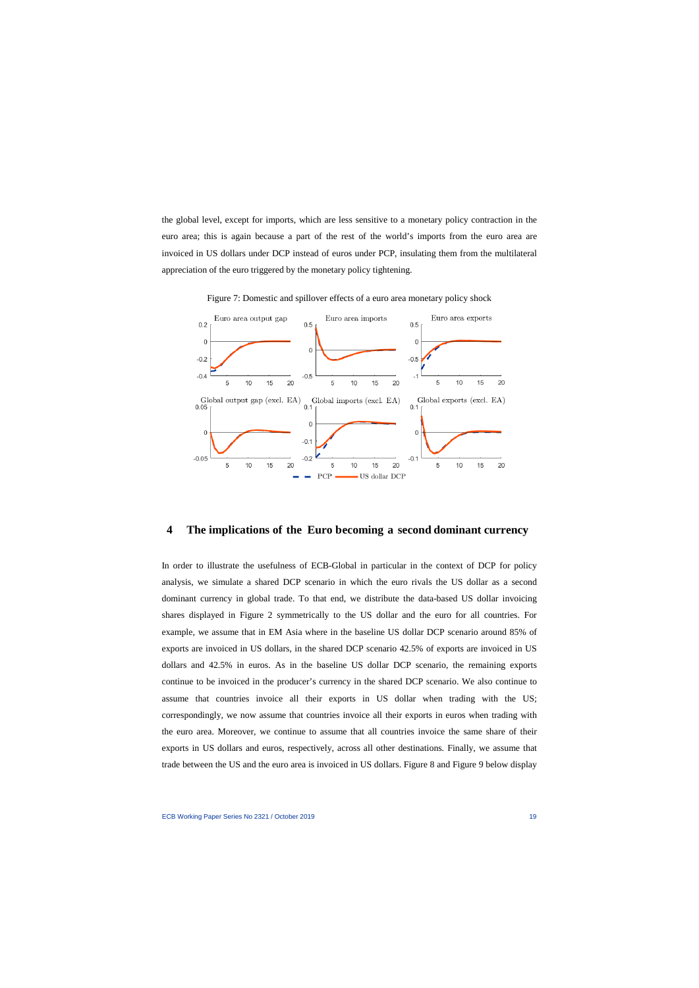the global level, except for imports, which are less sensitive to a monetary policy contraction in the euro area; this is again because a part of the rest of the world's imports from the euro area are invoiced in US dollars under DCP instead of euros under PCP, insulating them from the multilateral appreciation of the euro triggered by the monetary policy tightening.



Figure 7: Domestic and spillover effects of a euro area monetary policy shock

#### **4 The implications of the Euro becoming a second dominant currency**

In order to illustrate the usefulness of ECB-Global in particular in the context of DCP for policy analysis, we simulate a shared DCP scenario in which the euro rivals the US dollar as a second dominant currency in global trade. To that end, we distribute the data-based US dollar invoicing shares displayed in Figure 2 symmetrically to the US dollar and the euro for all countries. For example, we assume that in EM Asia where in the baseline US dollar DCP scenario around 85% of exports are invoiced in US dollars, in the shared DCP scenario 42.5% of exports are invoiced in US dollars and 42.5% in euros. As in the baseline US dollar DCP scenario, the remaining exports continue to be invoiced in the producer's currency in the shared DCP scenario. We also continue to assume that countries invoice all their exports in US dollar when trading with the US; correspondingly, we now assume that countries invoice all their exports in euros when trading with the euro area. Moreover, we continue to assume that all countries invoice the same share of their exports in US dollars and euros, respectively, across all other destinations. Finally, we assume that trade between the US and the euro area is invoiced in US dollars. Figure 8 and Figure 9 below display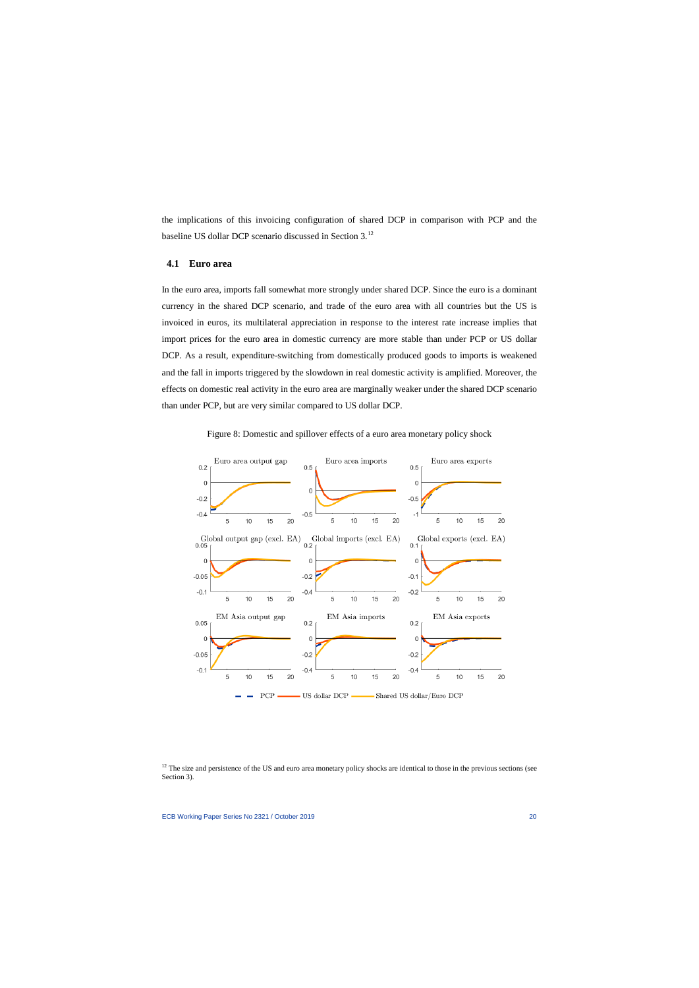the implications of this invoicing configuration of shared DCP in comparison with PCP and the baseline US dollar DCP scenario discussed in Section 3.[12](#page-20-0)

#### **4.1 Euro area**

In the euro area, imports fall somewhat more strongly under shared DCP. Since the euro is a dominant currency in the shared DCP scenario, and trade of the euro area with all countries but the US is invoiced in euros, its multilateral appreciation in response to the interest rate increase implies that import prices for the euro area in domestic currency are more stable than under PCP or US dollar DCP. As a result, expenditure-switching from domestically produced goods to imports is weakened and the fall in imports triggered by the slowdown in real domestic activity is amplified. Moreover, the effects on domestic real activity in the euro area are marginally weaker under the shared DCP scenario than under PCP, but are very similar compared to US dollar DCP.





<span id="page-20-0"></span> $12$  The size and persistence of the US and euro area monetary policy shocks are identical to those in the previous sections (see Section 3).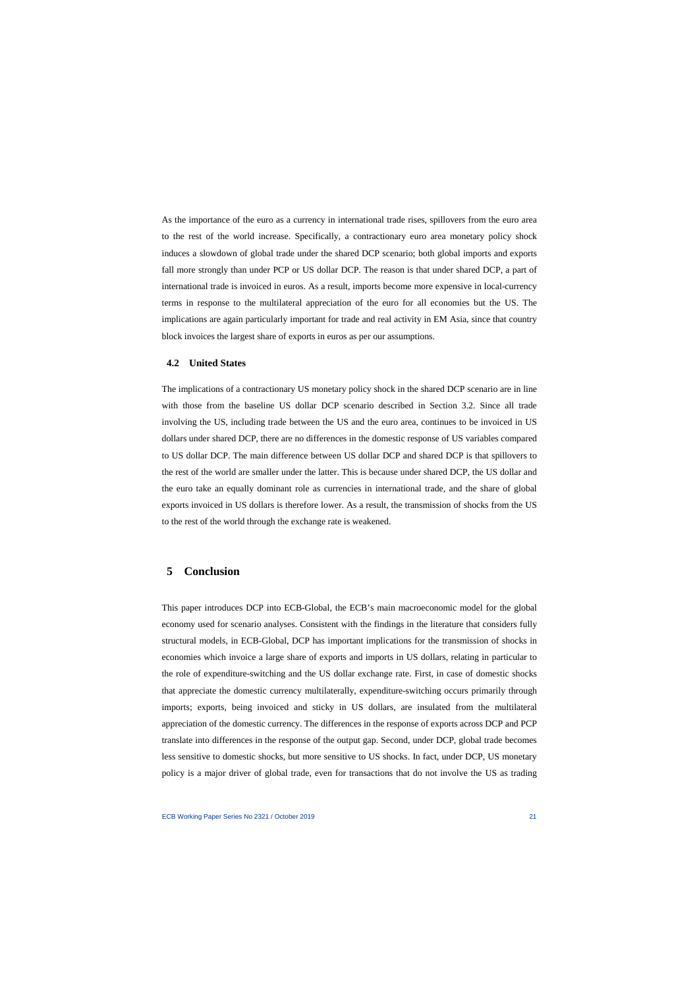As the importance of the euro as a currency in international trade rises, spillovers from the euro area to the rest of the world increase. Specifically, a contractionary euro area monetary policy shock induces a slowdown of global trade under the shared DCP scenario; both global imports and exports fall more strongly than under PCP or US dollar DCP. The reason is that under shared DCP, a part of international trade is invoiced in euros. As a result, imports become more expensive in local-currency terms in response to the multilateral appreciation of the euro for all economies but the US. The implications are again particularly important for trade and real activity in EM Asia, since that country block invoices the largest share of exports in euros as per our assumptions.

#### **4.2 United States**

The implications of a contractionary US monetary policy shock in the shared DCP scenario are in line with those from the baseline US dollar DCP scenario described in Section 3.2. Since all trade involving the US, including trade between the US and the euro area, continues to be invoiced in US dollars under shared DCP, there are no differences in the domestic response of US variables compared to US dollar DCP. The main difference between US dollar DCP and shared DCP is that spillovers to the rest of the world are smaller under the latter. This is because under shared DCP, the US dollar and the euro take an equally dominant role as currencies in international trade, and the share of global exports invoiced in US dollars is therefore lower. As a result, the transmission of shocks from the US to the rest of the world through the exchange rate is weakened.

## **5 Conclusion**

This paper introduces DCP into ECB-Global, the ECB's main macroeconomic model for the global economy used for scenario analyses. Consistent with the findings in the literature that considers fully structural models, in ECB-Global, DCP has important implications for the transmission of shocks in economies which invoice a large share of exports and imports in US dollars, relating in particular to the role of expenditure-switching and the US dollar exchange rate. First, in case of domestic shocks that appreciate the domestic currency multilaterally, expenditure-switching occurs primarily through imports; exports, being invoiced and sticky in US dollars, are insulated from the multilateral appreciation of the domestic currency. The differences in the response of exports across DCP and PCP translate into differences in the response of the output gap. Second, under DCP, global trade becomes less sensitive to domestic shocks, but more sensitive to US shocks. In fact, under DCP, US monetary policy is a major driver of global trade, even for transactions that do not involve the US as trading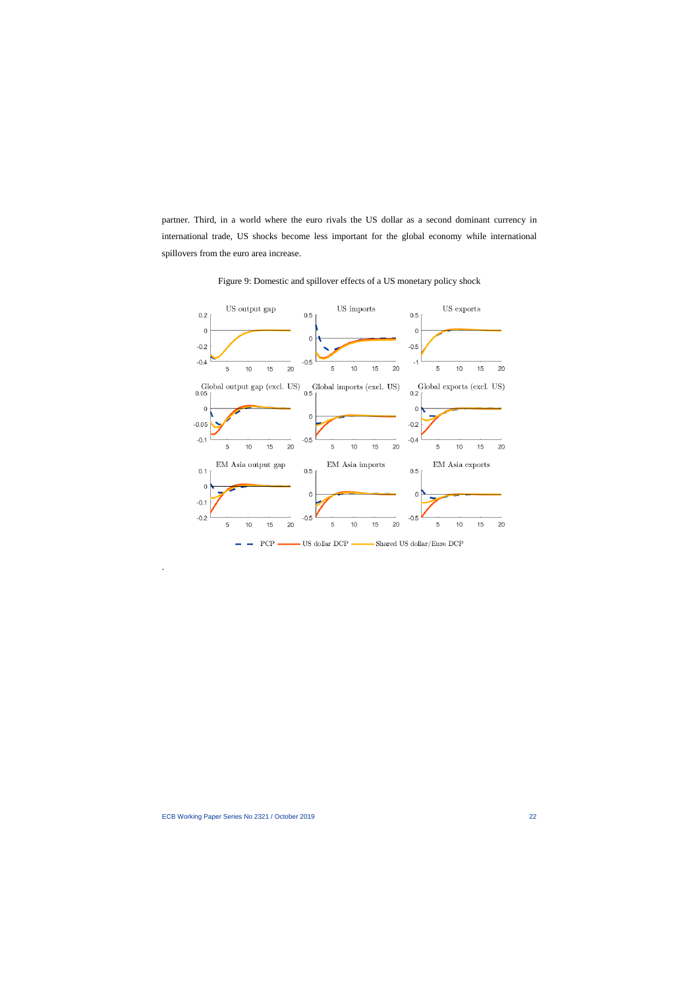partner. Third, in a world where the euro rivals the US dollar as a second dominant currency in international trade, US shocks become less important for the global economy while international spillovers from the euro area increase.



Figure 9: Domestic and spillover effects of a US monetary policy shock

.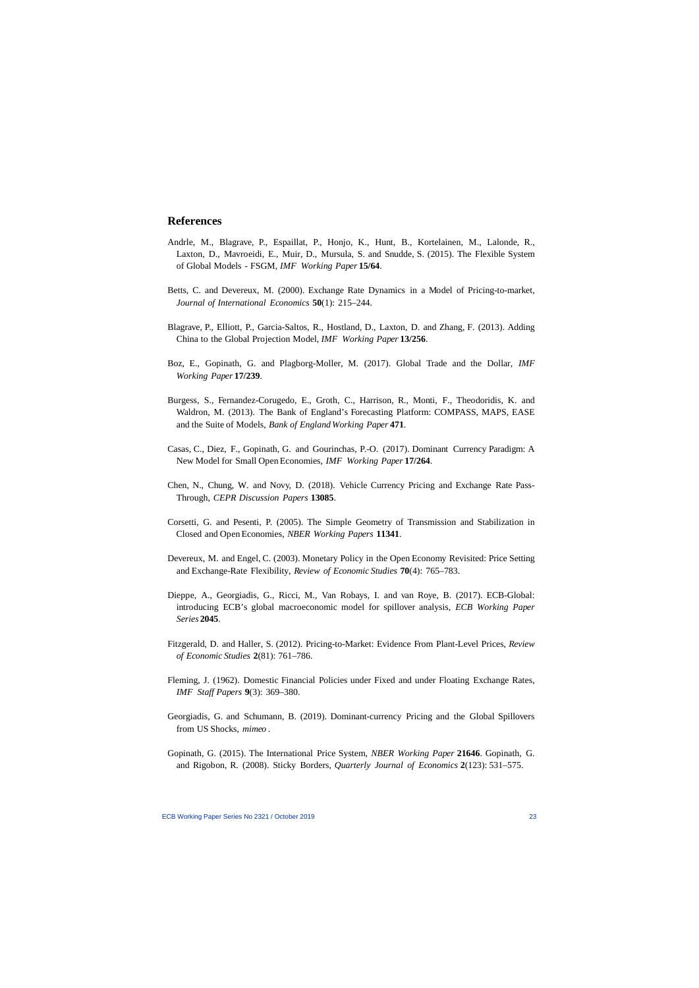## **References**

- Andrle, M., Blagrave, P., Espaillat, P., Honjo, K., Hunt, B., Kortelainen, M., Lalonde, R., Laxton, D., Mavroeidi, E., Muir, D., Mursula, S. and Snudde, S. (2015). The Flexible System of Global Models - FSGM, *IMF Working Paper* **15/64**.
- Betts, C. and Devereux, M. (2000). Exchange Rate Dynamics in a Model of Pricing-to-market, *Journal of International Economics* **50**(1): 215–244.
- Blagrave, P., Elliott, P., Garcia-Saltos, R., Hostland, D., Laxton, D. and Zhang, F. (2013). Adding China to the Global Projection Model, *IMF Working Paper* **13/256**.
- Boz, E., Gopinath, G. and Plagborg-Moller, M. (2017). Global Trade and the Dollar, *IMF Working Paper* **17/239**.
- Burgess, S., Fernandez-Corugedo, E., Groth, C., Harrison, R., Monti, F., Theodoridis, K. and Waldron, M. (2013). The Bank of England's Forecasting Platform: COMPASS, MAPS, EASE and the Suite of Models, *Bank of England Working Paper* **471**.
- Casas, C., Diez, F., Gopinath, G. and Gourinchas, P.-O. (2017). Dominant Currency Paradigm: A New Model for Small Open Economies, *IMF Working Paper* **17/264**.
- Chen, N., Chung, W. and Novy, D. (2018). Vehicle Currency Pricing and Exchange Rate Pass-Through, *CEPR Discussion Papers* **13085**.
- Corsetti, G. and Pesenti, P. (2005). The Simple Geometry of Transmission and Stabilization in Closed and Open Economies, *NBER Working Papers* **11341**.
- Devereux, M. and Engel, C. (2003). Monetary Policy in the Open Economy Revisited: Price Setting and Exchange-Rate Flexibility, *Review of Economic Studies* **70**(4): 765–783.
- Dieppe, A., Georgiadis, G., Ricci, M., Van Robays, I. and van Roye, B. (2017). ECB-Global: introducing ECB's global macroeconomic model for spillover analysis, *ECB Working Paper Series* **2045**.
- Fitzgerald, D. and Haller, S. (2012). Pricing-to-Market: Evidence From Plant-Level Prices, *Review of Economic Studies* **2**(81): 761–786.
- Fleming, J. (1962). Domestic Financial Policies under Fixed and under Floating Exchange Rates, *IMF Staff Papers* **9**(3): 369–380.
- Georgiadis, G. and Schumann, B. (2019). Dominant-currency Pricing and the Global Spillovers from US Shocks, *mimeo* .
- Gopinath, G. (2015). The International Price System, *NBER Working Paper* **21646**. Gopinath, G. and Rigobon, R. (2008). Sticky Borders, *Quarterly Journal of Economics* **2**(123): 531–575.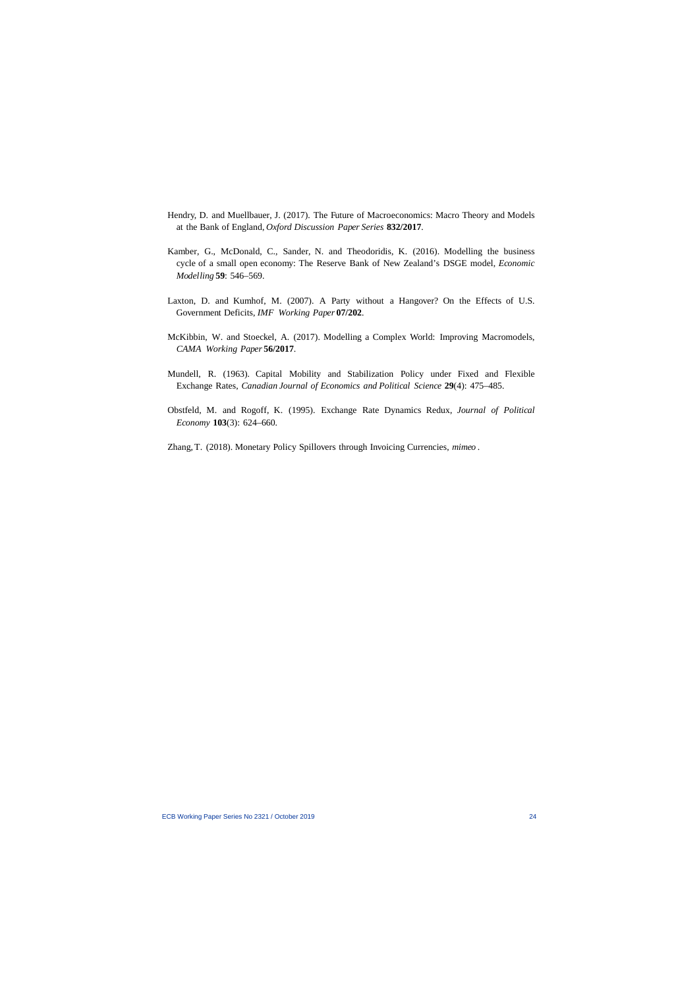- Hendry, D. and Muellbauer, J. (2017). The Future of Macroeconomics: Macro Theory and Models at the Bank of England, *Oxford Discussion Paper Series* **832/2017**.
- Kamber, G., McDonald, C., Sander, N. and Theodoridis, K. (2016). Modelling the business cycle of a small open economy: The Reserve Bank of New Zealand's DSGE model, *Economic Modelling* **59**: 546–569.
- Laxton, D. and Kumhof, M. (2007). A Party without a Hangover? On the Effects of U.S. Government Deficits, *IMF Working Paper* **07/202**.
- McKibbin, W. and Stoeckel, A. (2017). Modelling a Complex World: Improving Macromodels, *CAMA Working Paper* **56/2017**.
- Mundell, R. (1963). Capital Mobility and Stabilization Policy under Fixed and Flexible Exchange Rates, *Canadian Journal of Economics and Political Science* **29**(4): 475–485.
- Obstfeld, M. and Rogoff, K. (1995). Exchange Rate Dynamics Redux, *Journal of Political Economy* **103**(3): 624–660.
- Zhang, T. (2018). Monetary Policy Spillovers through Invoicing Currencies, *mimeo* .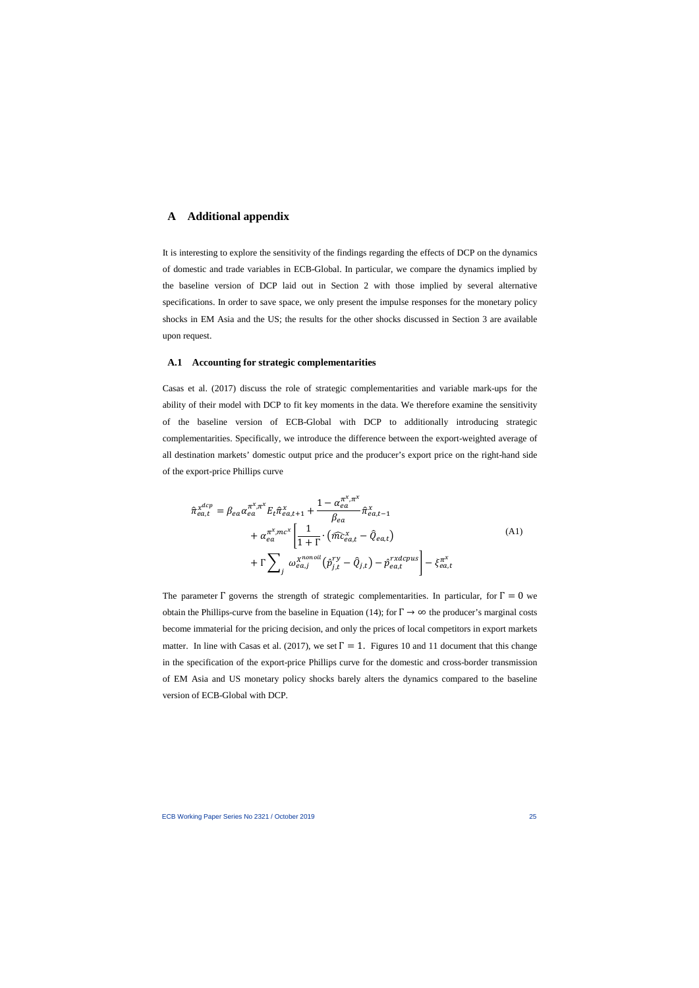## **A Additional appendix**

It is interesting to explore the sensitivity of the findings regarding the effects of DCP on the dynamics of domestic and trade variables in ECB-Global. In particular, we compare the dynamics implied by the baseline version of DCP laid out in Section 2 with those implied by several alternative specifications. In order to save space, we only present the impulse responses for the monetary policy shocks in EM Asia and the US; the results for the other shocks discussed in Section 3 are available upon request.

#### **A.1 Accounting for strategic complementarities**

Casas et al. (2017) discuss the role of strategic complementarities and variable mark-ups for the ability of their model with DCP to fit key moments in the data. We therefore examine the sensitivity of the baseline version of ECB-Global with DCP to additionally introducing strategic complementarities. Specifically, we introduce the difference between the export-weighted average of all destination markets' domestic output price and the producer's export price on the right-hand side of the export-price Phillips curve

$$
\hat{\pi}_{ea,t}^{x^{dcp}} = \beta_{ea} \alpha_{ea}^{\pi^x, \pi^x} E_t \hat{\pi}_{ea,t+1}^x + \frac{1 - \alpha_{ea}^{\pi^x, \pi^x}}{\beta_{ea}} \hat{\pi}_{ea,t-1}^x \n+ \alpha_{ea}^{\pi^x, mc^x} \left[ \frac{1}{1 + \Gamma} \cdot (\hat{m} c_{ea,t}^x - \hat{Q}_{ea,t}) \n+ \Gamma \sum_j \omega_{ea,j}^{x^{nonoil}} (\hat{p}_{j,t}^{ry} - \hat{Q}_{j,t}) - \hat{p}_{ea,t}^{rxdcpus} \right] - \xi_{ea,t}^{\pi^x}
$$
\n(A1)

The parameter  $\Gamma$  governs the strength of strategic complementarities. In particular, for  $\Gamma = 0$  we obtain the Phillips-curve from the baseline in Equation (14); for  $\Gamma \to \infty$  the producer's marginal costs become immaterial for the pricing decision, and only the prices of local competitors in export markets matter. In line with Casas et al. (2017), we set  $\Gamma = 1$ . Figures 10 and 11 document that this change in the specification of the export-price Phillips curve for the domestic and cross-border transmission of EM Asia and US monetary policy shocks barely alters the dynamics compared to the baseline version of ECB-Global with DCP.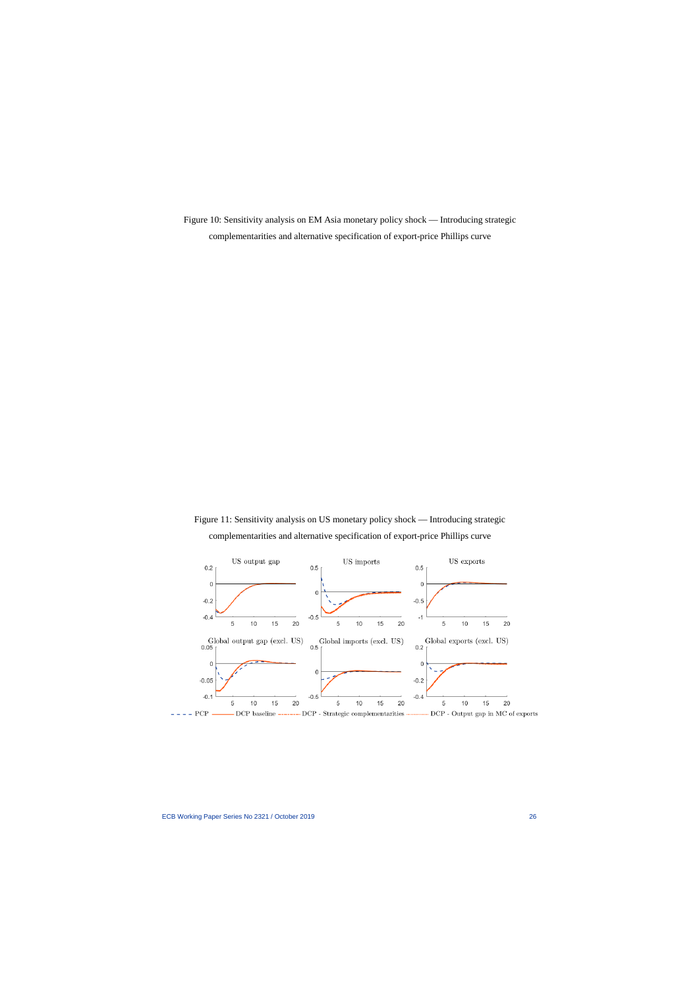Figure 10: Sensitivity analysis on EM Asia monetary policy shock — Introducing strategic complementarities and alternative specification of export-price Phillips curve

Figure 11: Sensitivity analysis on US monetary policy shock — Introducing strategic complementarities and alternative specification of export-price Phillips curve

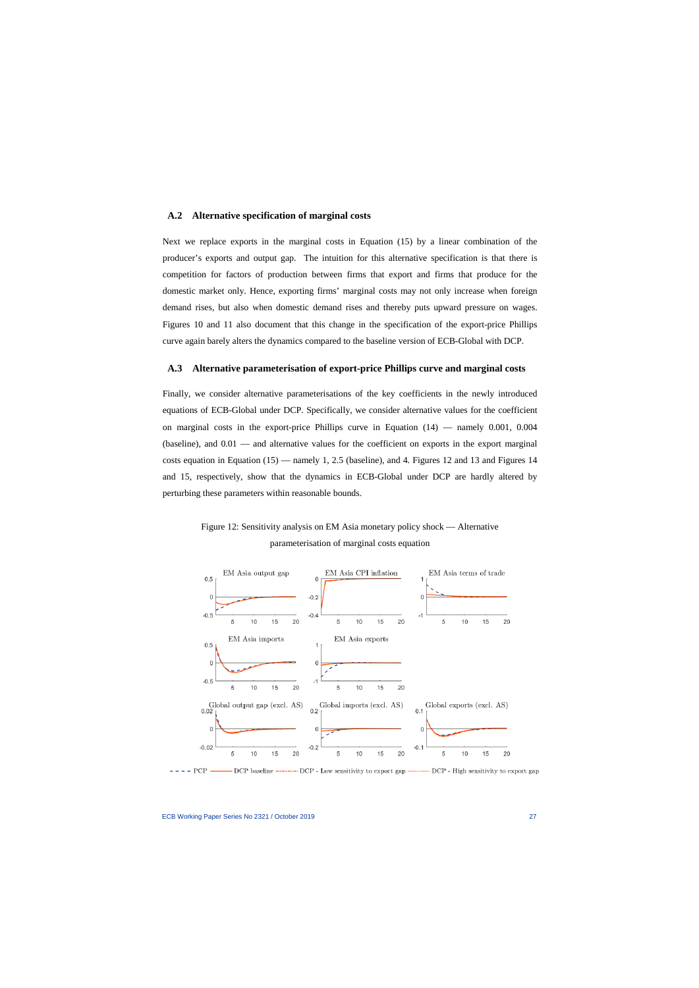#### **A.2 Alternative specification of marginal costs**

Next we replace exports in the marginal costs in Equation (15) by a linear combination of the producer's exports and output gap. The intuition for this alternative specification is that there is competition for factors of production between firms that export and firms that produce for the domestic market only. Hence, exporting firms' marginal costs may not only increase when foreign demand rises, but also when domestic demand rises and thereby puts upward pressure on wages. Figures 10 and 11 also document that this change in the specification of the export-price Phillips curve again barely alters the dynamics compared to the baseline version of ECB-Global with DCP.

#### **A.3 Alternative parameterisation of export-price Phillips curve and marginal costs**

Finally, we consider alternative parameterisations of the key coefficients in the newly introduced equations of ECB-Global under DCP. Specifically, we consider alternative values for the coefficient on marginal costs in the export-price Phillips curve in Equation (14) — namely 0.001, 0.004 (baseline), and  $0.01$  — and alternative values for the coefficient on exports in the export marginal costs equation in Equation (15) — namely 1, 2.5 (baseline), and 4. Figures 12 and 13 and Figures 14 and 15, respectively, show that the dynamics in ECB-Global under DCP are hardly altered by perturbing these parameters within reasonable bounds.





 $-$  - PCP  $-$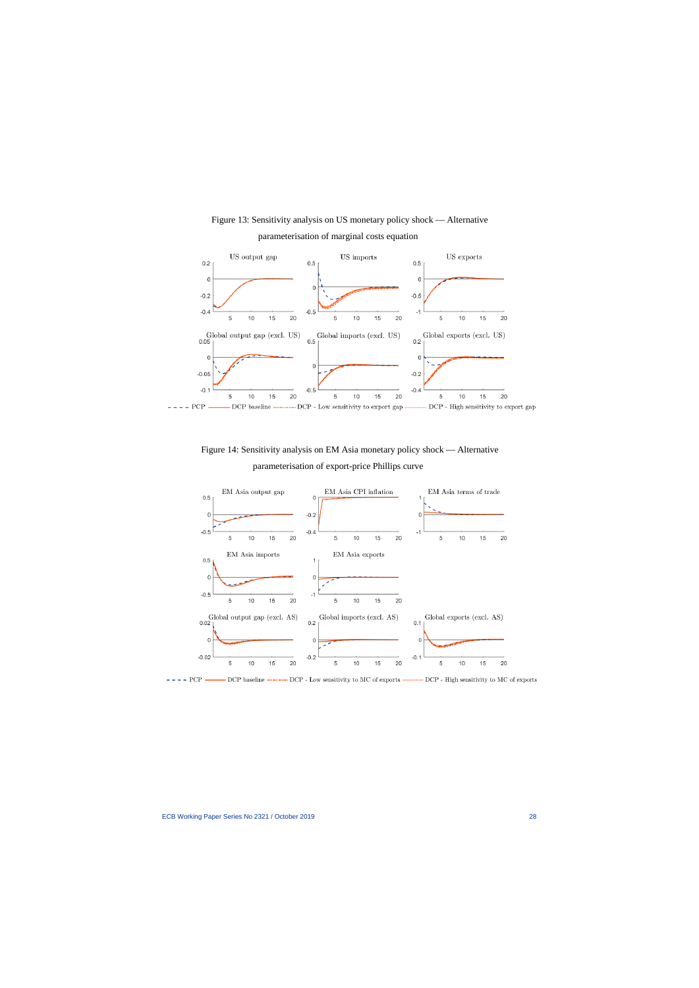

Figure 13: Sensitivity analysis on US monetary policy shock — Alternative parameterisation of marginal costs equation

Figure 14: Sensitivity analysis on EM Asia monetary policy shock — Alternative parameterisation of export-price Phillips curve



 $---$  PCP — - DCP baseline -------- DCP - Low sensitivity to MC of exports **manufactural** DCP - High sensitivity to MC of exports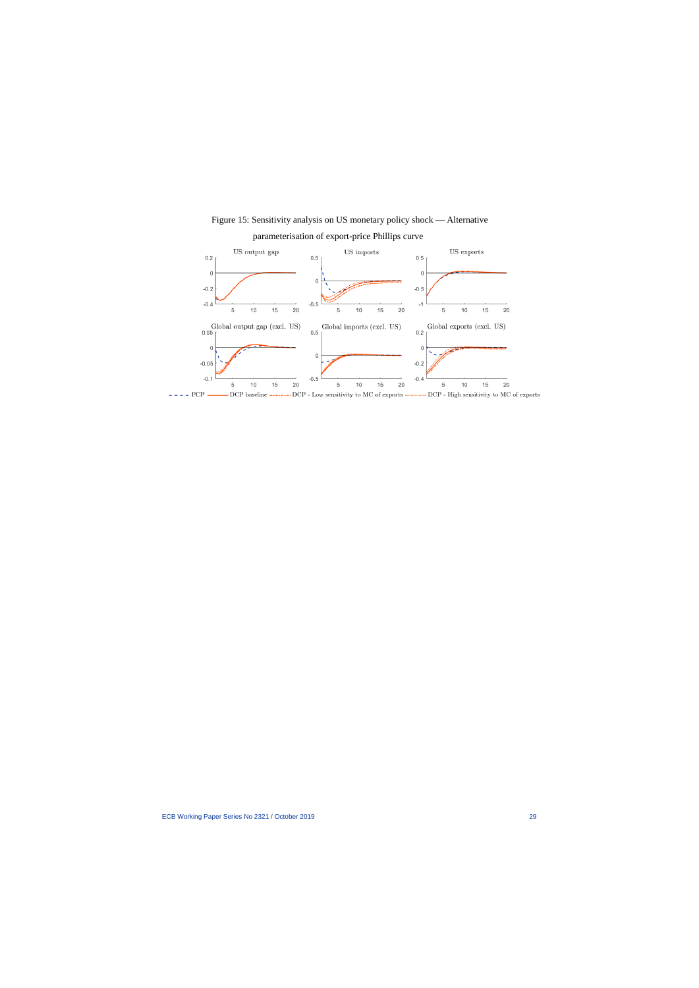

Figure 15: Sensitivity analysis on US monetary policy shock — Alternative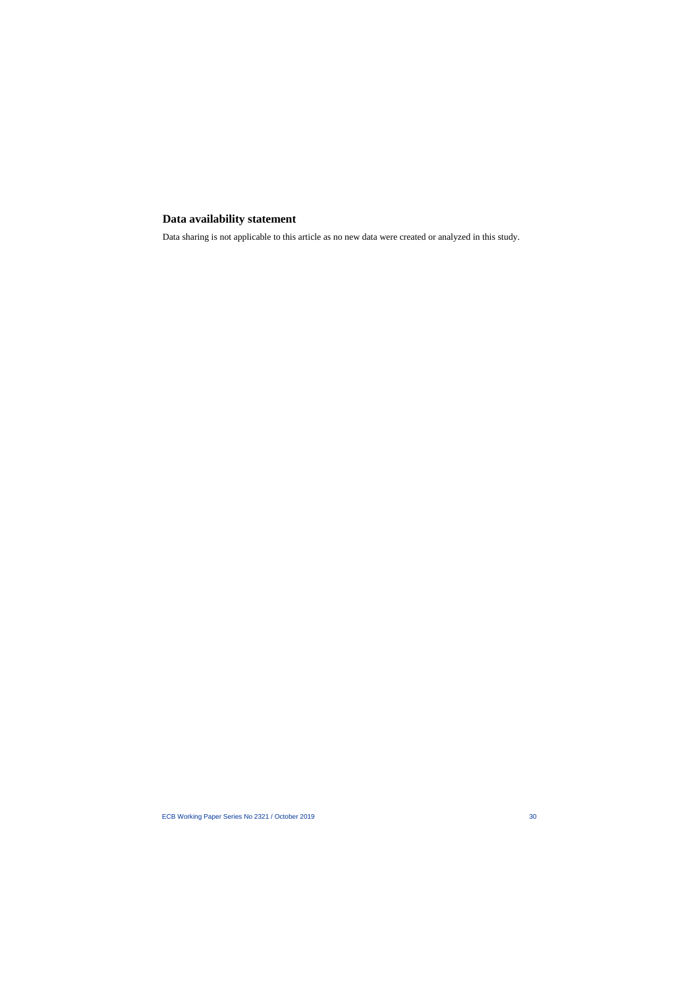# **Data availability statement**

Data sharing is not applicable to this article as no new data were created or analyzed in this study.